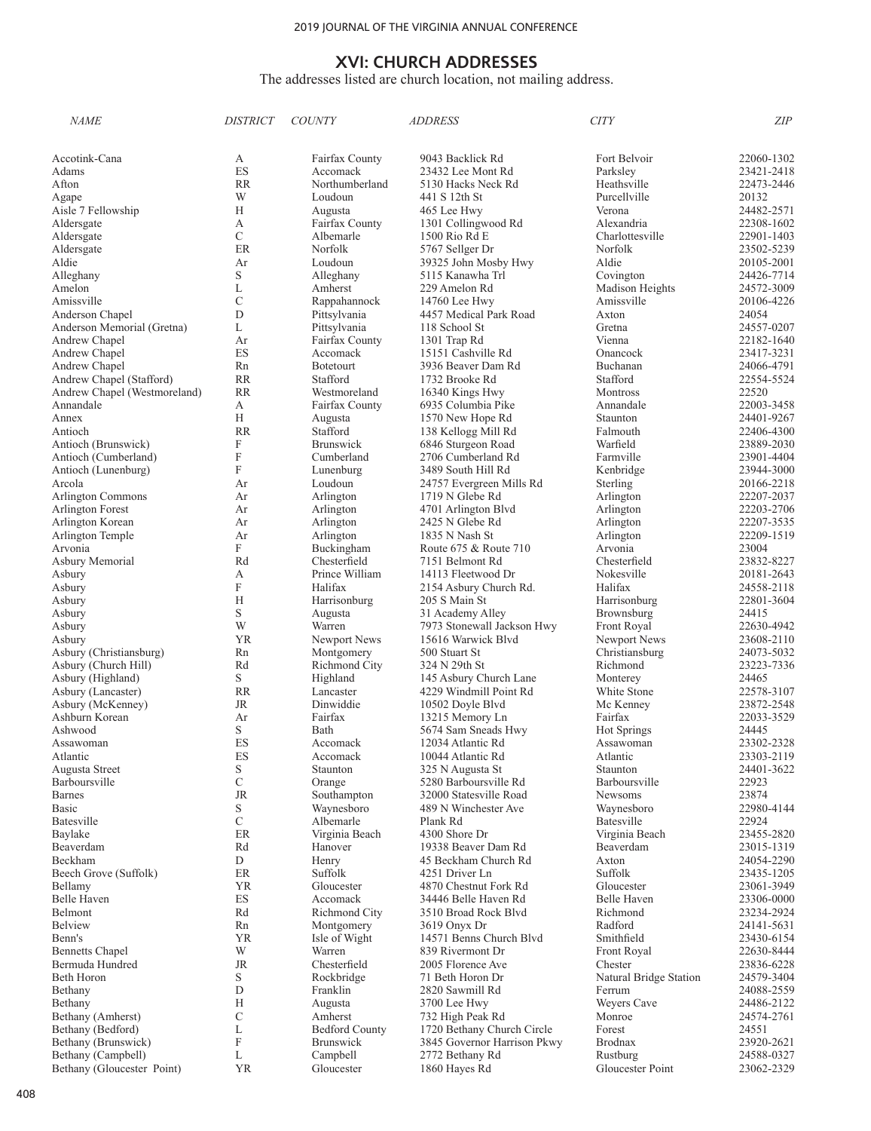#### The addresses listed are church location, not mailing address.

| <i>NAME</i>                  | <b>DISTRICT</b>           | <i>COUNTY</i>           | <i>ADDRESS</i>                          | <b>CITY</b>            | ΖIΡ                 |
|------------------------------|---------------------------|-------------------------|-----------------------------------------|------------------------|---------------------|
|                              |                           |                         |                                         |                        |                     |
| Accotink-Cana                | А                         | Fairfax County          | 9043 Backlick Rd                        | Fort Belvoir           | 22060-1302          |
| Adams                        | ES                        | Accomack                | 23432 Lee Mont Rd                       | Parksley               | 23421-2418          |
| Afton                        | <b>RR</b>                 | Northumberland          | 5130 Hacks Neck Rd                      | Heathsville            | 22473-2446          |
| Agape                        | W                         | Loudoun                 | 441 S 12th St                           | Purcellville           | 20132               |
| Aisle 7 Fellowship           | Н                         | Augusta                 | 465 Lee Hwy                             | Verona                 | 24482-2571          |
| Aldersgate                   | А                         | Fairfax County          | 1301 Collingwood Rd                     | Alexandria             | 22308-1602          |
| Aldersgate                   | C                         | Albemarle               | 1500 Rio Rd E                           | Charlottesville        | 22901-1403          |
| Aldersgate                   | ER                        | Norfolk                 | 5767 Sellger Dr                         | Norfolk                | 23502-5239          |
| Aldie                        | Ar                        | Loudoun                 | 39325 John Mosby Hwy                    | Aldie                  | 20105-2001          |
| Alleghany                    | S                         | Alleghany               | 5115 Kanawha Trl                        | Covington              | 24426-7714          |
| Amelon                       | L                         | Amherst                 | 229 Amelon Rd                           | Madison Heights        | 24572-3009          |
| Amissville                   | C                         | Rappahannock            | 14760 Lee Hwy                           | Amissville             | 20106-4226          |
| Anderson Chapel              | D                         | Pittsylvania            | 4457 Medical Park Road                  | Axton                  | 24054               |
| Anderson Memorial (Gretna)   | L                         | Pittsylvania            | 118 School St                           | Gretna                 | 24557-0207          |
| Andrew Chapel                | Ar                        | Fairfax County          | 1301 Trap Rd                            | Vienna                 | 22182-1640          |
| Andrew Chapel                | ES                        | Accomack                | 15151 Cashville Rd                      | Onancock               | 23417-3231          |
| Andrew Chapel                | Rn                        | <b>Botetourt</b>        | 3936 Beaver Dam Rd                      | Buchanan               | 24066-4791          |
| Andrew Chapel (Stafford)     | <b>RR</b>                 | Stafford                | 1732 Brooke Rd                          | Stafford               | 22554-5524          |
| Andrew Chapel (Westmoreland) | <b>RR</b>                 | Westmoreland            | 16340 Kings Hwy                         | Montross               | 22520               |
| Annandale                    | А                         | Fairfax County          | 6935 Columbia Pike                      | Annandale              | 22003-3458          |
| Annex                        | H                         | Augusta                 | 1570 New Hope Rd                        | Staunton               | 24401-9267          |
| Antioch                      | <b>RR</b>                 | Stafford                | 138 Kellogg Mill Rd                     | Falmouth               | 22406-4300          |
| Antioch (Brunswick)          | F                         | <b>Brunswick</b>        | 6846 Sturgeon Road                      | Warfield               | 23889-2030          |
| Antioch (Cumberland)         | F                         | Cumberland              | 2706 Cumberland Rd                      | Farmville              | 23901-4404          |
| Antioch (Lunenburg)          | F                         | Lunenburg               | 3489 South Hill Rd                      | Kenbridge              | 23944-3000          |
| Arcola                       | Ar                        | Loudoun                 | 24757 Evergreen Mills Rd                | Sterling               | 20166-2218          |
| <b>Arlington Commons</b>     | Ar                        | Arlington               | 1719 N Glebe Rd                         | Arlington              | 22207-2037          |
| Arlington Forest             | Ar                        | Arlington               | 4701 Arlington Blvd                     | Arlington              | 22203-2706          |
| Arlington Korean             | Ar                        | Arlington               | 2425 N Glebe Rd                         | Arlington              | 22207-3535          |
| Arlington Temple<br>Arvonia  | Ar<br>F                   | Arlington<br>Buckingham | 1835 N Nash St<br>Route 675 & Route 710 | Arlington<br>Arvonia   | 22209-1519<br>23004 |
| Asbury Memorial              | Rd                        | Chesterfield            | 7151 Belmont Rd                         | Chesterfield           | 23832-8227          |
| Asbury                       | А                         | Prince William          | 14113 Fleetwood Dr                      | Nokesville             | 20181-2643          |
| Asbury                       | F                         | Halifax                 | 2154 Asbury Church Rd.                  | Halifax                | 24558-2118          |
| Asbury                       | H                         | Harrisonburg            | 205 S Main St                           | Harrisonburg           | 22801-3604          |
| Asbury                       | S                         | Augusta                 | 31 Academy Alley                        | Brownsburg             | 24415               |
| Asbury                       | W                         | Warren                  | 7973 Stonewall Jackson Hwy              | Front Royal            | 22630-4942          |
| Asbury                       | YR                        | Newport News            | 15616 Warwick Blyd                      | Newport News           | 23608-2110          |
| Asbury (Christiansburg)      | Rn                        | Montgomery              | 500 Stuart St                           | Christiansburg         | 24073-5032          |
| Asbury (Church Hill)         | Rd                        | Richmond City           | 324 N 29th St                           | Richmond               | 23223-7336          |
| Asbury (Highland)            | S                         | Highland                | 145 Asbury Church Lane                  | Monterey               | 24465               |
| Asbury (Lancaster)           | RR                        | Lancaster               | 4229 Windmill Point Rd                  | White Stone            | 22578-3107          |
| Asbury (McKenney)            | JR                        | Dinwiddie               | 10502 Doyle Blvd                        | Mc Kenney              | 23872-2548          |
| Ashburn Korean               | Ar                        | Fairfax                 | 13215 Memory Ln                         | Fairfax                | 22033-3529          |
| Ashwood                      | S                         | Bath                    | 5674 Sam Sneads Hwy                     | Hot Springs            | 24445               |
| Assawoman                    | ES                        | Accomack                | 12034 Atlantic Rd                       | Assawoman              | 23302-2328          |
| Atlantic                     | ES                        | Accomack                | 10044 Atlantic Rd                       | Atlantic               | 23303-2119          |
| Augusta Street               | S                         | Staunton                | 325 N Augusta St                        | Staunton               | 24401-3622          |
| Barboursville                | C                         | Orange                  | 5280 Barboursville Rd                   | Barboursville          | 22923               |
| <b>Barnes</b>                | <b>JR</b>                 | Southampton             | 32000 Statesville Road                  | Newsoms                | 23874               |
| Basic                        | S                         | Waynesboro              | 489 N Winchester Ave                    | Waynesboro             | 22980-4144          |
| Batesville                   | C                         | Albemarle               | Plank Rd                                | Batesville             | 22924               |
| Baylake                      | ER                        | Virginia Beach          | 4300 Shore Dr                           | Virginia Beach         | 23455-2820          |
| Beaverdam                    | Rd                        | Hanover                 | 19338 Beaver Dam Rd                     | Beaverdam              | 23015-1319          |
| Beckham                      | D                         | Henry                   | 45 Beckham Church Rd                    | Axton                  | 24054-2290          |
| Beech Grove (Suffolk)        | ER                        | Suffolk                 | 4251 Driver Ln                          | Suffolk                | 23435-1205          |
| Bellamy                      | YR                        | Gloucester              | 4870 Chestnut Fork Rd                   | Gloucester             | 23061-3949          |
| Belle Haven                  | ES                        | Accomack                | 34446 Belle Haven Rd                    | Belle Haven            | 23306-0000          |
| Belmont                      | Rd                        | Richmond City           | 3510 Broad Rock Blvd                    | Richmond               | 23234-2924          |
| <b>Belview</b>               | Rn                        | Montgomery              | 3619 Onyx Dr                            | Radford                | 24141-5631          |
| Benn's                       | YR                        | Isle of Wight           | 14571 Benns Church Blvd                 | Smithfield             | 23430-6154          |
| <b>Bennetts Chapel</b>       | W                         | Warren                  | 839 Rivermont Dr                        | Front Royal            | 22630-8444          |
| Bermuda Hundred              | $\rm JR$                  | Chesterfield            | 2005 Florence Ave                       | Chester                | 23836-6228          |
| Beth Horon                   | S                         | Rockbridge              | 71 Beth Horon Dr                        | Natural Bridge Station | 24579-3404          |
| Bethany                      | D                         | Franklin                | 2820 Sawmill Rd                         | Ferrum                 | 24088-2559          |
| Bethany                      | H                         | Augusta                 | 3700 Lee Hwy                            | Weyers Cave            | 24486-2122          |
| Bethany (Amherst)            | С                         | Amherst                 | 732 High Peak Rd                        | Monroe                 | 24574-2761          |
| Bethany (Bedford)            | L                         | <b>Bedford County</b>   | 1720 Bethany Church Circle              | Forest                 | 24551               |
| Bethany (Brunswick)          | $\boldsymbol{\mathrm{F}}$ | <b>Brunswick</b>        | 3845 Governor Harrison Pkwy             | <b>Brodnax</b>         | 23920-2621          |
| Bethany (Campbell)           | L                         | Campbell                | 2772 Bethany Rd                         | Rustburg               | 24588-0327          |
| Bethany (Gloucester Point)   | <b>YR</b>                 | Gloucester              | 1860 Hayes Rd                           | Gloucester Point       | 23062-2329          |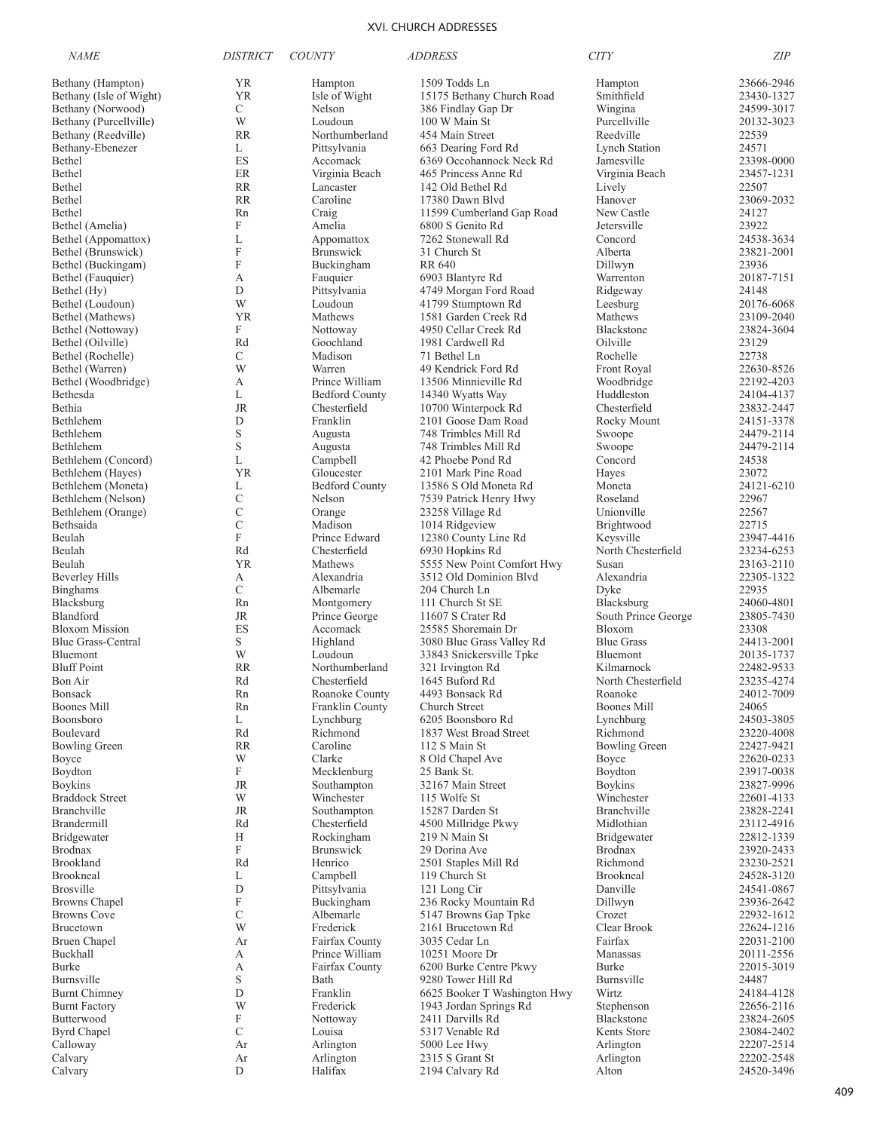| <b>NAME</b>                                        | <i>DISTRICT</i>                | <b>COUNTY</b>                  | <i>ADDRESS</i>                                        | <b>CITY</b>                   | <b>ZIP</b>               |
|----------------------------------------------------|--------------------------------|--------------------------------|-------------------------------------------------------|-------------------------------|--------------------------|
| Bethany (Hampton)                                  | YR                             | Hampton                        | 1509 Todds Ln                                         | Hampton                       | 23666-2946               |
| Bethany (Isle of Wight)                            | YR                             | Isle of Wight                  | 15175 Bethany Church Road                             | Smithfield                    | 23430-1327               |
| Bethany (Norwood)                                  | C                              | Nelson                         | 386 Findlay Gap Dr                                    | Wingina                       | 24599-3017               |
| Bethany (Purcellville)                             | W                              | Loudoun                        | 100 W Main St                                         | Purcellville                  | 20132-3023               |
| Bethany (Reedville)                                | <b>RR</b>                      | Northumberland                 | 454 Main Street                                       | Reedville                     | 22539                    |
| Bethany-Ebenezer                                   | L                              | Pittsylvania                   | 663 Dearing Ford Rd                                   | <b>Lynch Station</b>          | 24571                    |
| Bethel                                             | ES                             | Accomack                       | 6369 Occohannock Neck Rd                              | Jamesville                    | 23398-0000               |
| Bethel                                             | ER                             | Virginia Beach                 | 465 Princess Anne Rd                                  | Virginia Beach                | 23457-1231               |
| Bethel                                             | <b>RR</b><br><b>RR</b>         | Lancaster<br>Caroline          | 142 Old Bethel Rd                                     | Lively                        | 22507                    |
| Bethel<br>Bethel                                   | Rn                             | Craig                          | 17380 Dawn Blvd<br>11599 Cumberland Gap Road          | Hanover<br>New Castle         | 23069-2032<br>24127      |
| Bethel (Amelia)                                    | F                              | Amelia                         | 6800 S Genito Rd                                      | Jetersville                   | 23922                    |
| Bethel (Appomattox)                                | L                              | Appomattox                     | 7262 Stonewall Rd                                     | Concord                       | 24538-3634               |
| Bethel (Brunswick)                                 | F                              | <b>Brunswick</b>               | 31 Church St                                          | Alberta                       | 23821-2001               |
| Bethel (Buckingam)                                 | F                              | Buckingham                     | <b>RR 640</b>                                         | Dillwyn                       | 23936                    |
| Bethel (Fauquier)                                  | А                              | Fauquier                       | 6903 Blantyre Rd                                      | Warrenton                     | 20187-7151               |
| Bethel (Hy)                                        | D                              | Pittsylvania                   | 4749 Morgan Ford Road                                 | Ridgeway                      | 24148                    |
| Bethel (Loudoun)                                   | W                              | Loudoun                        | 41799 Stumptown Rd                                    | Leesburg                      | 20176-6068               |
| Bethel (Mathews)                                   | YR                             | Mathews                        | 1581 Garden Creek Rd                                  | Mathews                       | 23109-2040               |
| Bethel (Nottoway)                                  | F                              | Nottoway                       | 4950 Cellar Creek Rd                                  | Blackstone                    | 23824-3604               |
| Bethel (Oilville)                                  | Rd                             | Goochland                      | 1981 Cardwell Rd                                      | Oilville                      | 23129                    |
| Bethel (Rochelle)                                  | C                              | Madison                        | 71 Bethel Ln                                          | Rochelle                      | 22738                    |
| Bethel (Warren)                                    | W                              | Warren                         | 49 Kendrick Ford Rd                                   | Front Royal                   | 22630-8526               |
| Bethel (Woodbridge)                                | А                              | Prince William                 | 13506 Minnieville Rd                                  | Woodbridge                    | 22192-4203               |
| Bethesda                                           | L                              | <b>Bedford County</b>          | 14340 Wyatts Way                                      | Huddleston                    | 24104-4137               |
| Bethia                                             | <b>JR</b>                      | Chesterfield                   | 10700 Winterpock Rd                                   | Chesterfield                  | 23832-2447               |
| Bethlehem<br>Bethlehem                             | D<br>$\mathbf S$               | Franklin                       | 2101 Goose Dam Road                                   | Rocky Mount                   | 24151-3378<br>24479-2114 |
| Bethlehem                                          | $\mathbf S$                    | Augusta<br>Augusta             | 748 Trimbles Mill Rd<br>748 Trimbles Mill Rd          | Swoope<br>Swoope              | 24479-2114               |
| Bethlehem (Concord)                                | L                              | Campbell                       | 42 Phoebe Pond Rd                                     | Concord                       | 24538                    |
| Bethlehem (Hayes)                                  | <b>YR</b>                      | Gloucester                     | 2101 Mark Pine Road                                   | Hayes                         | 23072                    |
| Bethlehem (Moneta)                                 | L                              | <b>Bedford County</b>          | 13586 S Old Moneta Rd                                 | Moneta                        | 24121-6210               |
| Bethlehem (Nelson)                                 | $\mathcal{C}$                  | Nelson                         | 7539 Patrick Henry Hwy                                | Roseland                      | 22967                    |
| Bethlehem (Orange)                                 | C                              | Orange                         | 23258 Village Rd                                      | Unionville                    | 22567                    |
| Bethsaida                                          | $\mathcal{C}$                  | Madison                        | 1014 Ridgeview                                        | Brightwood                    | 22715                    |
| Beulah                                             | F                              | Prince Edward                  | 12380 County Line Rd                                  | Keysville                     | 23947-4416               |
| Beulah                                             | Rd                             | Chesterfield                   | 6930 Hopkins Rd                                       | North Chesterfield            | 23234-6253               |
| Beulah                                             | <b>YR</b>                      | Mathews                        | 5555 New Point Comfort Hwy                            | Susan                         | 23163-2110               |
| <b>Beverley Hills</b>                              | А                              | Alexandria                     | 3512 Old Dominion Blvd                                | Alexandria                    | 22305-1322               |
| <b>Binghams</b>                                    | $\mathcal{C}$                  | Albemarle                      | 204 Church Ln                                         | Dyke                          | 22935                    |
| Blacksburg                                         | Rn                             | Montgomery                     | 111 Church St SE                                      | Blacksburg                    | 24060-4801               |
| Blandford                                          | JR                             | Prince George                  | 11607 S Crater Rd                                     | South Prince George           | 23805-7430               |
| <b>Bloxom Mission</b><br><b>Blue Grass-Central</b> | ES                             | Accomack                       | 25585 Shoremain Dr                                    | Bloxom                        | 23308                    |
| Bluemont                                           | S<br>W                         | Highland<br>Loudoun            | 3080 Blue Grass Valley Rd<br>33843 Snickersville Tpke | <b>Blue Grass</b><br>Bluemont | 24413-2001<br>20135-1737 |
| <b>Bluff Point</b>                                 | <b>RR</b>                      | Northumberland                 | 321 Irvington Rd                                      | Kilmarnock                    | 22482-9533               |
| Bon Air                                            | Rd                             | Chesterfield                   | 1645 Buford Rd                                        | North Chesterfield            | 23235-4274               |
| Bonsack                                            | Rn                             | Roanoke County                 | 4493 Bonsack Rd                                       | Roanoke                       | 24012-7009               |
| <b>Boones Mill</b>                                 | Rn                             | Franklin County                | Church Street                                         | <b>Boones Mill</b>            | 24065                    |
| Boonsboro                                          | L                              | Lynchburg                      | 6205 Boonsboro Rd                                     | Lynchburg                     | 24503-3805               |
| Boulevard                                          | Rd                             | Richmond                       | 1837 West Broad Street                                | Richmond                      | 23220-4008               |
| <b>Bowling Green</b>                               | <b>RR</b>                      | Caroline                       | 112 S Main St                                         | Bowling Green                 | 22427-9421               |
| Boyce                                              | W                              | Clarke                         | 8 Old Chapel Ave                                      | Boyce                         | 22620-0233               |
| Boydton                                            | F                              | Mecklenburg                    | 25 Bank St.                                           | Boydton                       | 23917-0038               |
| <b>Boykins</b>                                     | <b>JR</b>                      | Southampton                    | 32167 Main Street                                     | Boykins                       | 23827-9996               |
| <b>Braddock Street</b>                             | W                              | Winchester                     | 115 Wolfe St                                          | Winchester                    | 22601-4133               |
| Branchville<br>Brandermill                         | JR                             | Southampton                    | 15287 Darden St                                       | Branchville                   | 23828-2241               |
|                                                    | Rd<br>H                        | Chesterfield                   | 4500 Millridge Pkwy                                   | Midlothian                    | 23112-4916               |
| Bridgewater<br><b>Brodnax</b>                      | F                              | Rockingham<br><b>Brunswick</b> | 219 N Main St<br>29 Dorina Ave                        | Bridgewater<br><b>Brodnax</b> | 22812-1339<br>23920-2433 |
| <b>Brookland</b>                                   | Rd                             | Henrico                        | 2501 Staples Mill Rd                                  | Richmond                      | 23230-2521               |
| Brookneal                                          | L                              | Campbell                       | 119 Church St                                         | Brookneal                     | 24528-3120               |
| <b>Brosville</b>                                   | D                              | Pittsylvania                   | 121 Long Cir                                          | Danville                      | 24541-0867               |
| <b>Browns Chapel</b>                               | F                              | Buckingham                     | 236 Rocky Mountain Rd                                 | Dillwyn                       | 23936-2642               |
| <b>Browns Cove</b>                                 | $\mathcal{C}$                  | Albemarle                      | 5147 Browns Gap Tpke                                  | Crozet                        | 22932-1612               |
| Brucetown                                          | W                              | Frederick                      | 2161 Brucetown Rd                                     | Clear Brook                   | 22624-1216               |
| <b>Bruen Chapel</b>                                | Ar                             | Fairfax County                 | 3035 Cedar Ln                                         | Fairfax                       | 22031-2100               |
| Buckhall                                           | А                              | Prince William                 | 10251 Moore Dr                                        | Manassas                      | 20111-2556               |
| Burke                                              | А                              | Fairfax County                 | 6200 Burke Centre Pkwy                                | Burke                         | 22015-3019               |
| Burnsville                                         | S                              | Bath                           | 9280 Tower Hill Rd                                    | Burnsville                    | 24487                    |
| <b>Burnt Chimney</b>                               | $\mathbf D$                    | Franklin                       | 6625 Booker T Washington Hwy                          | Wirtz                         | 24184-4128               |
| <b>Burnt Factory</b>                               | W                              | Frederick                      | 1943 Jordan Springs Rd                                | Stephenson                    | 22656-2116               |
| Butterwood                                         | $\boldsymbol{\mathrm{F}}$<br>C | Nottoway                       | 2411 Darvills Rd<br>5317 Venable Rd                   | Blackstone<br>Kents Store     | 23824-2605               |
| <b>Byrd Chapel</b><br>Calloway                     | Ar                             | Louisa<br>Arlington            | 5000 Lee Hwy                                          | Arlington                     | 23084-2402<br>22207-2514 |
| Calvary                                            | Ar                             | Arlington                      | 2315 S Grant St                                       | Arlington                     | 22202-2548               |
| Calvary                                            | D                              | Halifax                        | 2194 Calvary Rd                                       | Alton                         | 24520-3496               |
|                                                    |                                |                                |                                                       |                               |                          |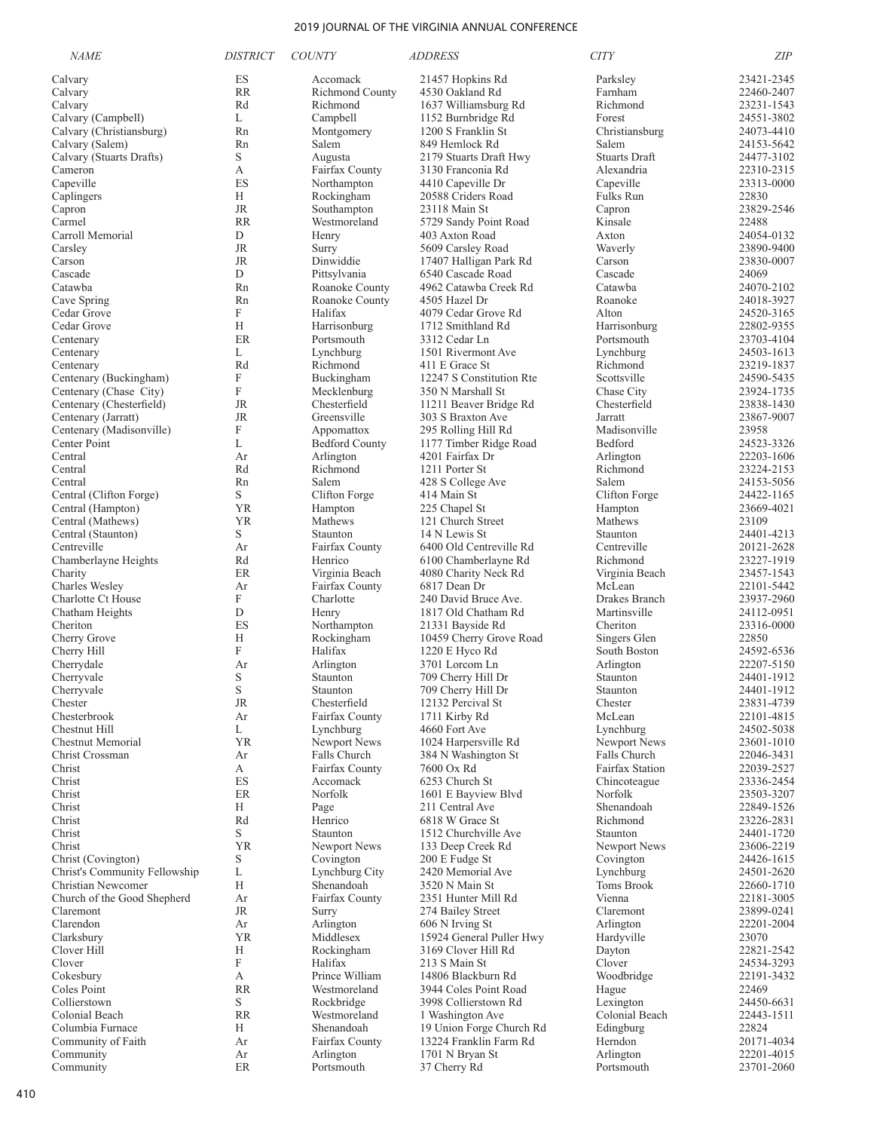| <b>NAME</b>                                        | <i><b>DISTRICT</b></i> | <b>COUNTY</b>                  | <i>ADDRESS</i>                              | <b>CITY</b>                   | ZIP                      |
|----------------------------------------------------|------------------------|--------------------------------|---------------------------------------------|-------------------------------|--------------------------|
| Calvary                                            | ES                     | Accomack                       | 21457 Hopkins Rd                            | Parksley                      | 23421-2345               |
| Calvary                                            | <b>RR</b>              | Richmond County                | 4530 Oakland Rd                             | Farnham                       | 22460-2407               |
| Calvary                                            | Rd                     | Richmond                       | 1637 Williamsburg Rd                        | Richmond                      | 23231-1543               |
| Calvary (Campbell)                                 | L                      | Campbell                       | 1152 Burnbridge Rd                          | Forest                        | 24551-3802               |
| Calvary (Christiansburg)                           | Rn                     | Montgomery                     | 1200 S Franklin St                          | Christiansburg                | 24073-4410               |
| Calvary (Salem)<br>Calvary (Stuarts Drafts)        | Rn<br>S                | Salem<br>Augusta               | 849 Hemlock Rd<br>2179 Stuarts Draft Hwy    | Salem<br><b>Stuarts Draft</b> | 24153-5642<br>24477-3102 |
| Cameron                                            | А                      | Fairfax County                 | 3130 Franconia Rd                           | Alexandria                    | 22310-2315               |
| Capeville                                          | ES                     | Northampton                    | 4410 Capeville Dr                           | Capeville                     | 23313-0000               |
| Caplingers                                         | Н                      | Rockingham                     | 20588 Criders Road                          | Fulks Run                     | 22830                    |
| Capron                                             | JR                     | Southampton                    | 23118 Main St                               | Capron                        | 23829-2546               |
| Carmel                                             | <b>RR</b>              | Westmoreland                   | 5729 Sandy Point Road                       | Kinsale                       | 22488                    |
| Carroll Memorial                                   | D                      | Henry                          | 403 Axton Road                              | Axton                         | 24054-0132               |
| Carsley                                            | JR                     | Surry                          | 5609 Carsley Road                           | Waverly                       | 23890-9400               |
| Carson                                             | <b>JR</b><br>D         | Dinwiddie                      | 17407 Halligan Park Rd                      | Carson<br>Cascade             | 23830-0007               |
| Cascade<br>Catawba                                 | Rn                     | Pittsylvania<br>Roanoke County | 6540 Cascade Road<br>4962 Catawba Creek Rd  | Catawba                       | 24069<br>24070-2102      |
| Cave Spring                                        | Rn                     | Roanoke County                 | 4505 Hazel Dr                               | Roanoke                       | 24018-3927               |
| Cedar Grove                                        | F                      | Halifax                        | 4079 Cedar Grove Rd                         | Alton                         | 24520-3165               |
| Cedar Grove                                        | H                      | Harrisonburg                   | 1712 Smithland Rd                           | Harrisonburg                  | 22802-9355               |
| Centenary                                          | ER                     | Portsmouth                     | 3312 Cedar Ln                               | Portsmouth                    | 23703-4104               |
| Centenary                                          | L                      | Lynchburg                      | 1501 Rivermont Ave                          | Lynchburg                     | 24503-1613               |
| Centenary                                          | Rd                     | Richmond                       | 411 E Grace St                              | Richmond                      | 23219-1837               |
| Centenary (Buckingham)                             | F<br>F                 | Buckingham                     | 12247 S Constitution Rte                    | Scottsville                   | 24590-5435               |
| Centenary (Chase City)<br>Centenary (Chesterfield) | <b>JR</b>              | Mecklenburg<br>Chesterfield    | 350 N Marshall St<br>11211 Beaver Bridge Rd | Chase City<br>Chesterfield    | 23924-1735<br>23838-1430 |
| Centenary (Jarratt)                                | <b>JR</b>              | Greensville                    | 303 S Braxton Ave                           | Jarratt                       | 23867-9007               |
| Centenary (Madisonville)                           | F                      | Appomattox                     | 295 Rolling Hill Rd                         | Madisonville                  | 23958                    |
| Center Point                                       | L                      | <b>Bedford County</b>          | 1177 Timber Ridge Road                      | Bedford                       | 24523-3326               |
| Central                                            | Ar                     | Arlington                      | 4201 Fairfax Dr                             | Arlington                     | 22203-1606               |
| Central                                            | Rd                     | Richmond                       | 1211 Porter St                              | Richmond                      | 23224-2153               |
| Central                                            | Rn                     | Salem                          | 428 S College Ave                           | Salem                         | 24153-5056               |
| Central (Clifton Forge)                            | S                      | Clifton Forge                  | 414 Main St                                 | Clifton Forge                 | 24422-1165               |
| Central (Hampton)<br>Central (Mathews)             | <b>YR</b><br><b>YR</b> | Hampton<br>Mathews             | 225 Chapel St<br>121 Church Street          | Hampton<br>Mathews            | 23669-4021<br>23109      |
| Central (Staunton)                                 | S                      | Staunton                       | 14 N Lewis St                               | Staunton                      | 24401-4213               |
| Centreville                                        | Ar                     | Fairfax County                 | 6400 Old Centreville Rd                     | Centreville                   | 20121-2628               |
| Chamberlayne Heights                               | Rd                     | Henrico                        | 6100 Chamberlayne Rd                        | Richmond                      | 23227-1919               |
| Charity                                            | ER                     | Virginia Beach                 | 4080 Charity Neck Rd                        | Virginia Beach                | 23457-1543               |
| Charles Wesley                                     | Ar                     | Fairfax County                 | 6817 Dean Dr                                | McLean                        | 22101-5442               |
| Charlotte Ct House                                 | F                      | Charlotte                      | 240 David Bruce Ave.                        | Drakes Branch                 | 23937-2960               |
| Chatham Heights                                    | D                      | Henry                          | 1817 Old Chatham Rd                         | Martinsville                  | 24112-0951               |
| Cheriton<br>Cherry Grove                           | ES<br>Н                | Northampton<br>Rockingham      | 21331 Bayside Rd<br>10459 Cherry Grove Road | Cheriton<br>Singers Glen      | 23316-0000<br>22850      |
| Cherry Hill                                        | F                      | Halifax                        | 1220 E Hyco Rd                              | South Boston                  | 24592-6536               |
| Cherrydale                                         | Ar                     | Arlington                      | 3701 Lorcom Ln                              | Arlington                     | 22207-5150               |
| Cherryvale                                         | S                      | Staunton                       | 709 Cherry Hill Dr                          | Staunton                      | 24401-1912               |
| Cherryvale                                         | S                      | Staunton                       | 709 Cherry Hill Dr                          | Staunton                      | 24401-1912               |
| Chester                                            | <b>JR</b>              | Chesterfield                   | 12132 Percival St                           | Chester                       | 23831-4739               |
| Chesterbrook                                       | Ar                     | Fairfax County                 | 1711 Kirby Rd                               | McLean                        | 22101-4815               |
| Chestnut Hill<br>Chestnut Memorial                 | L<br><b>YR</b>         | Lynchburg<br>Newport News      | 4660 Fort Ave<br>1024 Harpersville Rd       | Lynchburg<br>Newport News     | 24502-5038<br>23601-1010 |
| Christ Crossman                                    | Ar                     | Falls Church                   | 384 N Washington St                         | Falls Church                  | 22046-3431               |
| Christ                                             | А                      | Fairfax County                 | 7600 Ox Rd                                  | Fairfax Station               | 22039-2527               |
| Christ                                             | ES                     | Accomack                       | 6253 Church St                              | Chincoteague                  | 23336-2454               |
| Christ                                             | ER                     | Norfolk                        | 1601 E Bayview Blvd                         | Norfolk                       | 23503-3207               |
| Christ                                             | Н                      | Page                           | 211 Central Ave                             | Shenandoah                    | 22849-1526               |
| Christ                                             | Rd                     | Henrico                        | 6818 W Grace St                             | Richmond                      | 23226-2831               |
| Christ<br>Christ                                   | S<br><b>YR</b>         | Staunton<br>Newport News       | 1512 Churchville Ave<br>133 Deep Creek Rd   | Staunton<br>Newport News      | 24401-1720<br>23606-2219 |
| Christ (Covington)                                 | S                      | Covington                      | 200 E Fudge St                              | Covington                     | 24426-1615               |
| Christ's Community Fellowship                      | L                      | Lynchburg City                 | 2420 Memorial Ave                           | Lynchburg                     | 24501-2620               |
| Christian Newcomer                                 | H                      | Shenandoah                     | 3520 N Main St                              | Toms Brook                    | 22660-1710               |
| Church of the Good Shepherd                        | Ar                     | Fairfax County                 | 2351 Hunter Mill Rd                         | Vienna                        | 22181-3005               |
| Claremont                                          | JR                     | Surry                          | 274 Bailey Street                           | Claremont                     | 23899-0241               |
| Clarendon                                          | Ar                     | Arlington                      | 606 N Irving St                             | Arlington                     | 22201-2004               |
| Clarksbury                                         | <b>YR</b>              | Middlesex                      | 15924 General Puller Hwy                    | Hardyville                    | 23070                    |
| Clover Hill<br>Clover                              | Н<br>F                 | Rockingham<br>Halifax          | 3169 Clover Hill Rd<br>213 S Main St        | Dayton<br>Clover              | 22821-2542<br>24534-3293 |
| Cokesbury                                          | А                      | Prince William                 | 14806 Blackburn Rd                          | Woodbridge                    | 22191-3432               |
| Coles Point                                        | <b>RR</b>              | Westmoreland                   | 3944 Coles Point Road                       | Hague                         | 22469                    |
| Collierstown                                       | S.                     | Rockbridge                     | 3998 Collierstown Rd                        | Lexington                     | 24450-6631               |
| Colonial Beach                                     | <b>RR</b>              | Westmoreland                   | 1 Washington Ave                            | Colonial Beach                | 22443-1511               |
| Columbia Furnace                                   | Н                      | Shenandoah                     | 19 Union Forge Church Rd                    | Edingburg                     | 22824                    |
| Community of Faith                                 | Ar                     | Fairfax County                 | 13224 Franklin Farm Rd                      | Herndon                       | 20171-4034               |
| Community<br>Community                             | Ar<br>$\rm ER$         | Arlington<br>Portsmouth        | 1701 N Bryan St<br>37 Cherry Rd             | Arlington<br>Portsmouth       | 22201-4015<br>23701-2060 |
|                                                    |                        |                                |                                             |                               |                          |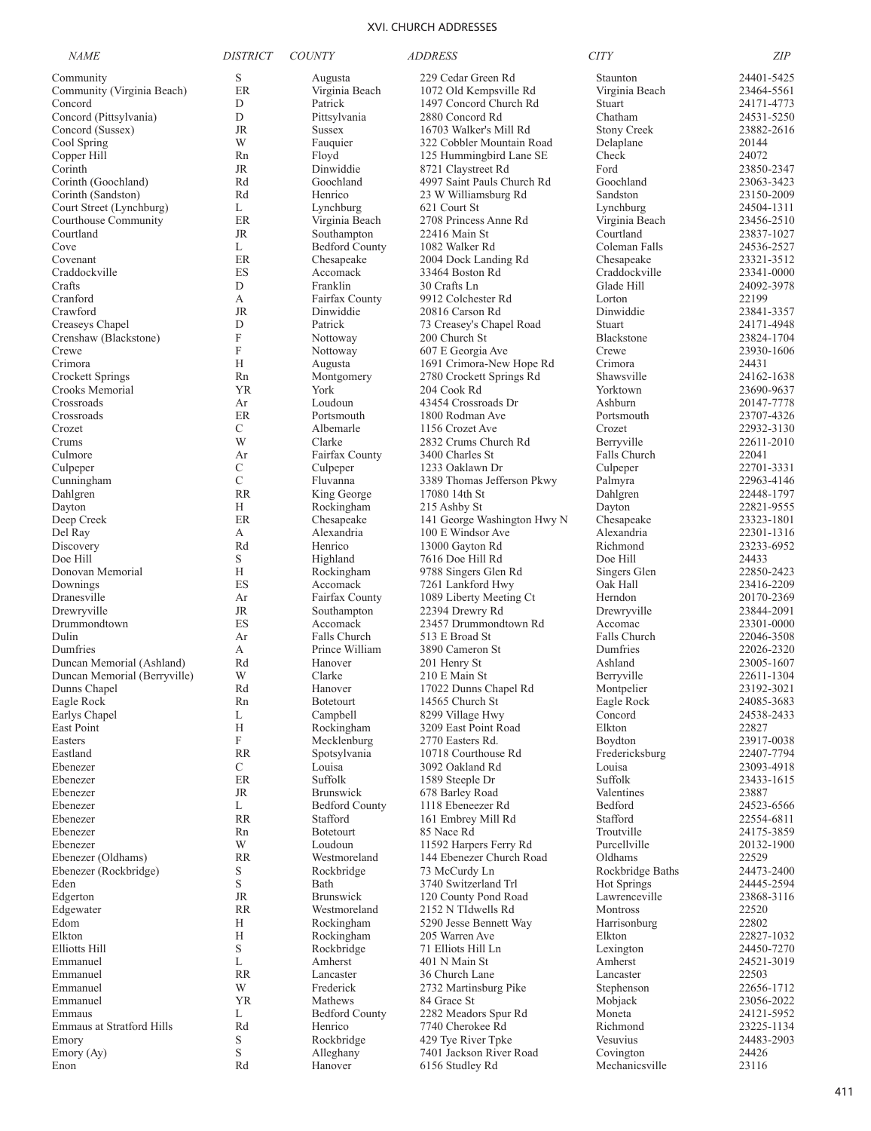| <i>NAME</i>                                      | <b>DISTRICT</b>           | <i>COUNTY</i>                             | <i>ADDRESS</i>                             | <b>CITY</b>                   | <b>ZIP</b>               |
|--------------------------------------------------|---------------------------|-------------------------------------------|--------------------------------------------|-------------------------------|--------------------------|
| Community                                        | S                         | Augusta                                   | 229 Cedar Green Rd                         | Staunton                      | 24401-5425               |
| Community (Virginia Beach)                       | ER                        | Virginia Beach                            | 1072 Old Kempsville Rd                     | Virginia Beach                | 23464-5561               |
| Concord                                          | D                         | Patrick                                   | 1497 Concord Church Rd                     | Stuart                        | 24171-4773               |
| Concord (Pittsylvania)<br>Concord (Sussex)       | D<br>JR                   | Pittsylvania<br><b>Sussex</b>             | 2880 Concord Rd<br>16703 Walker's Mill Rd  | Chatham<br><b>Stony Creek</b> | 24531-5250<br>23882-2616 |
| Cool Spring                                      | W                         | Fauquier                                  | 322 Cobbler Mountain Road                  | Delaplane                     | 20144                    |
| Copper Hill                                      | Rn                        | Floyd                                     | 125 Hummingbird Lane SE                    | Check                         | 24072                    |
| Corinth                                          | JR                        | Dinwiddie                                 | 8721 Claystreet Rd                         | Ford                          | 23850-2347               |
| Corinth (Goochland)                              | Rd                        | Goochland                                 | 4997 Saint Pauls Church Rd                 | Goochland                     | 23063-3423               |
| Corinth (Sandston)                               | Rd                        | Henrico                                   | 23 W Williamsburg Rd                       | Sandston                      | 23150-2009               |
| Court Street (Lynchburg)<br>Courthouse Community | L                         | Lynchburg                                 | 621 Court St                               | Lynchburg                     | 24504-1311               |
| Courtland                                        | ER<br>JR                  | Virginia Beach<br>Southampton             | 2708 Princess Anne Rd<br>22416 Main St     | Virginia Beach<br>Courtland   | 23456-2510<br>23837-1027 |
| Cove                                             | L                         | <b>Bedford County</b>                     | 1082 Walker Rd                             | Coleman Falls                 | 24536-2527               |
| Covenant                                         | ER                        | Chesapeake                                | 2004 Dock Landing Rd                       | Chesapeake                    | 23321-3512               |
| Craddockville                                    | ES                        | Accomack                                  | 33464 Boston Rd                            | Craddockville                 | 23341-0000               |
| Crafts                                           | D                         | Franklin                                  | 30 Crafts Ln                               | Glade Hill                    | 24092-3978               |
| Cranford                                         | А                         | Fairfax County                            | 9912 Colchester Rd                         | Lorton                        | 22199                    |
| Crawford                                         | <b>JR</b><br>D            | Dinwiddie<br>Patrick                      | 20816 Carson Rd                            | Dinwiddie<br>Stuart           | 23841-3357<br>24171-4948 |
| Creaseys Chapel<br>Crenshaw (Blackstone)         | $\boldsymbol{\mathrm{F}}$ | Nottoway                                  | 73 Creasey's Chapel Road<br>200 Church St  | Blackstone                    | 23824-1704               |
| Crewe                                            | F                         | Nottoway                                  | 607 E Georgia Ave                          | Crewe                         | 23930-1606               |
| Crimora                                          | H                         | Augusta                                   | 1691 Crimora-New Hope Rd                   | Crimora                       | 24431                    |
| Crockett Springs                                 | Rn                        | Montgomery                                | 2780 Crockett Springs Rd                   | Shawsville                    | 24162-1638               |
| Crooks Memorial                                  | YR                        | York                                      | 204 Cook Rd                                | Yorktown                      | 23690-9637               |
| Crossroads                                       | Ar                        | Loudoun                                   | 43454 Crossroads Dr                        | Ashburn                       | 20147-7778               |
| Crossroads                                       | ER                        | Portsmouth                                | 1800 Rodman Ave                            | Portsmouth                    | 23707-4326               |
| Crozet                                           | C                         | Albemarle                                 | 1156 Crozet Ave                            | Crozet                        | 22932-3130               |
| Crums<br>Culmore                                 | W<br>Ar                   | Clarke<br>Fairfax County                  | 2832 Crums Church Rd<br>3400 Charles St    | Berryville<br>Falls Church    | 22611-2010<br>22041      |
| Culpeper                                         | C                         | Culpeper                                  | 1233 Oaklawn Dr                            | Culpeper                      | 22701-3331               |
| Cunningham                                       | $\mathcal{C}$             | Fluvanna                                  | 3389 Thomas Jefferson Pkwy                 | Palmyra                       | 22963-4146               |
| Dahlgren                                         | <b>RR</b>                 | King George                               | 17080 14th St                              | Dahlgren                      | 22448-1797               |
| Dayton                                           | Н                         | Rockingham                                | 215 Ashby St                               | Dayton                        | 22821-9555               |
| Deep Creek                                       | ER                        | Chesapeake                                | 141 George Washington Hwy N                | Chesapeake                    | 23323-1801               |
| Del Ray                                          | А                         | Alexandria                                | 100 E Windsor Ave                          | Alexandria                    | 22301-1316               |
| Discovery                                        | Rd                        | Henrico                                   | 13000 Gayton Rd                            | Richmond                      | 23233-6952               |
| Doe Hill<br>Donovan Memorial                     | S<br>Н                    | Highland                                  | 7616 Doe Hill Rd                           | Doe Hill                      | 24433<br>22850-2423      |
| Downings                                         | ES                        | Rockingham<br>Accomack                    | 9788 Singers Glen Rd<br>7261 Lankford Hwy  | Singers Glen<br>Oak Hall      | 23416-2209               |
| Dranesville                                      | Ar                        | Fairfax County                            | 1089 Liberty Meeting Ct                    | Herndon                       | 20170-2369               |
| Drewryville                                      | JR                        | Southampton                               | 22394 Drewry Rd                            | Drewryville                   | 23844-2091               |
| Drummondtown                                     | ES                        | Accomack                                  | 23457 Drummondtown Rd                      | Accomac                       | 23301-0000               |
| Dulin                                            | Ar                        | Falls Church                              | 513 E Broad St                             | Falls Church                  | 22046-3508               |
| Dumfries                                         | А                         | Prince William                            | 3890 Cameron St                            | Dumfries                      | 22026-2320               |
| Duncan Memorial (Ashland)                        | Rd                        | Hanover                                   | 201 Henry St                               | Ashland                       | 23005-1607               |
| Duncan Memorial (Berryville)<br>Dunns Chapel     | W                         | Clarke<br>Hanover                         | 210 E Main St                              | Berryville<br>Montpelier      | 22611-1304<br>23192-3021 |
| Eagle Rock                                       | Rd<br>Rn                  | <b>Botetourt</b>                          | 17022 Dunns Chapel Rd<br>14565 Church St   | Eagle Rock                    | 24085-3683               |
| Earlys Chapel                                    | L                         | Campbell                                  | 8299 Village Hwy                           | Concord                       | 24538-2433               |
| East Point                                       | H                         | Rockingham                                | 3209 East Point Road                       | Elkton                        | 22827                    |
| Easters                                          | $\boldsymbol{\mathrm{F}}$ | Mecklenburg                               | 2770 Easters Rd.                           | Boydton                       | 23917-0038               |
| Eastland                                         | <b>RR</b>                 | Spotsylvania                              | 10718 Courthouse Rd                        | Fredericksburg                | 22407-7794               |
| Ebenezer                                         | $\mathbf C$               | Louisa                                    | 3092 Oakland Rd                            | Louisa                        | 23093-4918               |
| Ebenezer                                         | ER                        | Suffolk                                   | 1589 Steeple Dr                            | Suffolk                       | 23433-1615               |
| Ebenezer<br>Ebenezer                             | JR<br>L                   | <b>Brunswick</b><br><b>Bedford County</b> | 678 Barley Road<br>1118 Ebeneezer Rd       | Valentines<br>Bedford         | 23887<br>24523-6566      |
| Ebenezer                                         | <b>RR</b>                 | Stafford                                  | 161 Embrey Mill Rd                         | Stafford                      | 22554-6811               |
| Ebenezer                                         | Rn                        | <b>Botetourt</b>                          | 85 Nace Rd                                 | Troutville                    | 24175-3859               |
| Ebenezer                                         | W                         | Loudoun                                   | 11592 Harpers Ferry Rd                     | Purcellville                  | 20132-1900               |
| Ebenezer (Oldhams)                               | RR                        | Westmoreland                              | 144 Ebenezer Church Road                   | Oldhams                       | 22529                    |
| Ebenezer (Rockbridge)                            | S                         | Rockbridge                                | 73 McCurdy Ln                              | Rockbridge Baths              | 24473-2400               |
| Eden                                             | $\mathbf S$               | Bath                                      | 3740 Switzerland Trl                       | Hot Springs                   | 24445-2594               |
| Edgerton                                         | JR                        | <b>Brunswick</b>                          | 120 County Pond Road                       | Lawrenceville                 | 23868-3116               |
| Edgewater<br>Edom                                | RR                        | Westmoreland                              | 2152 N TIdwells Rd                         | Montross                      | 22520<br>22802           |
| Elkton                                           | Н<br>H                    | Rockingham<br>Rockingham                  | 5290 Jesse Bennett Way<br>205 Warren Ave   | Harrisonburg<br>Elkton        | 22827-1032               |
| <b>Elliotts Hill</b>                             | $\mathbf S$               | Rockbridge                                | 71 Elliots Hill Ln                         | Lexington                     | 24450-7270               |
| Emmanuel                                         | L                         | Amherst                                   | 401 N Main St                              | Amherst                       | 24521-3019               |
| Emmanuel                                         | <b>RR</b>                 | Lancaster                                 | 36 Church Lane                             | Lancaster                     | 22503                    |
| Emmanuel                                         | W                         | Frederick                                 | 2732 Martinsburg Pike                      | Stephenson                    | 22656-1712               |
| Emmanuel                                         | <b>YR</b>                 | Mathews                                   | 84 Grace St                                | Mobjack                       | 23056-2022               |
| Emmaus                                           | L                         | <b>Bedford County</b>                     | 2282 Meadors Spur Rd                       | Moneta                        | 24121-5952               |
| <b>Emmaus at Stratford Hills</b>                 | Rd                        | Henrico                                   | 7740 Cherokee Rd                           | Richmond                      | 23225-1134               |
| Emory                                            | S<br>$\mathbf S$          | Rockbridge                                | 429 Tye River Tpke                         | Vesuvius                      | 24483-2903<br>24426      |
| Emory (Ay)<br>Enon                               | Rd                        | Alleghany<br>Hanover                      | 7401 Jackson River Road<br>6156 Studley Rd | Covington<br>Mechanicsville   | 23116                    |
|                                                  |                           |                                           |                                            |                               |                          |

411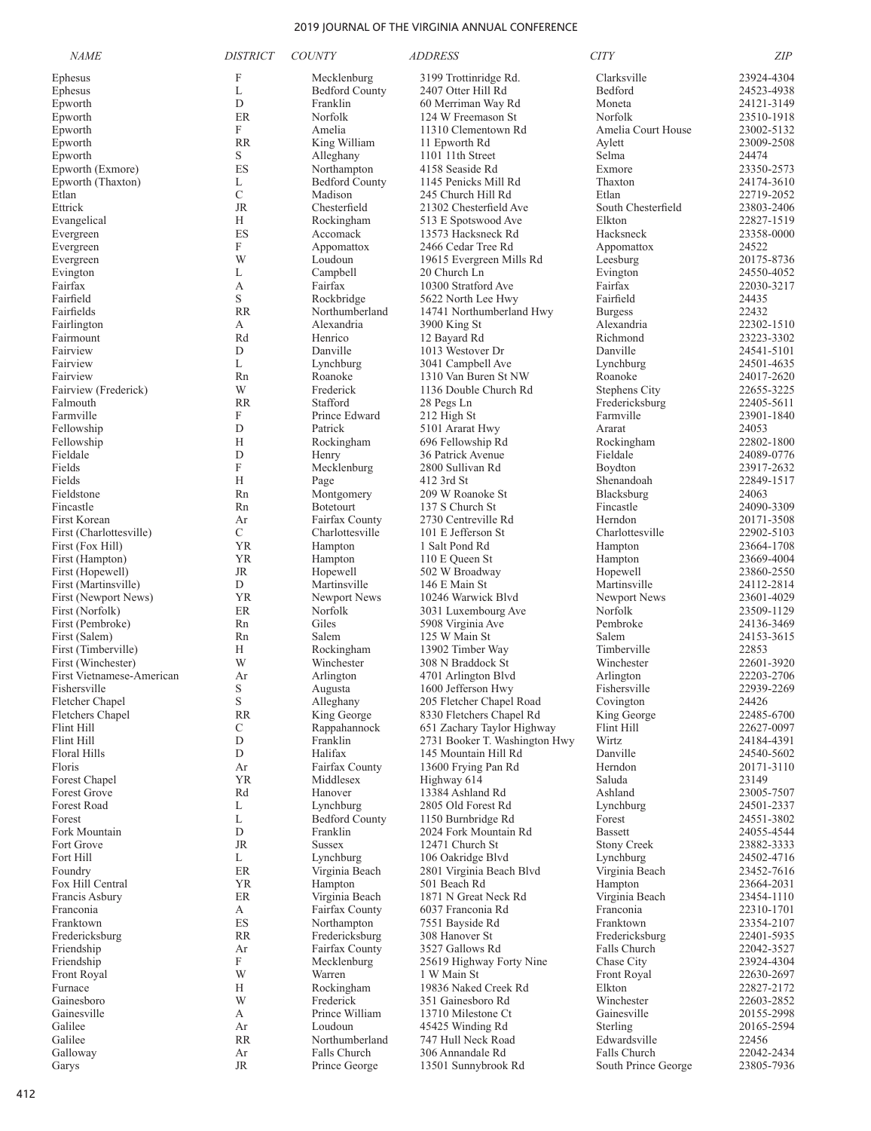| <b>NAME</b>                             | <b>DISTRICT</b>  | <b>COUNTY</b>                     | <b>ADDRESS</b>                                        | <b>CITY</b>                 | <b>ZIP</b>               |
|-----------------------------------------|------------------|-----------------------------------|-------------------------------------------------------|-----------------------------|--------------------------|
| Ephesus                                 | F                | Mecklenburg                       | 3199 Trottinridge Rd.                                 | Clarksville                 | 23924-4304               |
| Ephesus                                 | L                | <b>Bedford County</b>             | 2407 Otter Hill Rd                                    | Bedford                     | 24523-4938               |
| Epworth                                 | D                | Franklin                          | 60 Merriman Way Rd                                    | Moneta                      | 24121-3149               |
| Epworth                                 | ER               | Norfolk                           | 124 W Freemason St                                    | Norfolk                     | 23510-1918               |
| Epworth                                 | F                | Amelia                            | 11310 Clementown Rd                                   | Amelia Court House          | 23002-5132               |
| Epworth                                 | <b>RR</b>        | King William                      | 11 Epworth Rd                                         | Aylett                      | 23009-2508               |
| Epworth<br>Epworth (Exmore)             | S<br>ES          | Alleghany<br>Northampton          | 1101 11th Street<br>4158 Seaside Rd                   | Selma<br>Exmore             | 24474<br>23350-2573      |
| Epworth (Thaxton)                       | L                | <b>Bedford County</b>             | 1145 Penicks Mill Rd                                  | Thaxton                     | 24174-3610               |
| Etlan                                   | C                | Madison                           | 245 Church Hill Rd                                    | Etlan                       | 22719-2052               |
| Ettrick                                 | <b>JR</b>        | Chesterfield                      | 21302 Chesterfield Ave                                | South Chesterfield          | 23803-2406               |
| Evangelical                             | Н                | Rockingham                        | 513 E Spotswood Ave                                   | Elkton                      | 22827-1519               |
| Evergreen                               | ES               | Accomack                          | 13573 Hacksneck Rd                                    | Hacksneck                   | 23358-0000               |
| Evergreen                               | F                | Appomattox                        | 2466 Cedar Tree Rd                                    | Appomattox                  | 24522                    |
| Evergreen                               | W                | Loudoun                           | 19615 Evergreen Mills Rd                              | Leesburg                    | 20175-8736               |
| Evington<br>Fairfax                     | L<br>А           | Campbell<br>Fairfax               | 20 Church Ln<br>10300 Stratford Ave                   | Evington<br>Fairfax         | 24550-4052<br>22030-3217 |
| Fairfield                               | S                | Rockbridge                        | 5622 North Lee Hwy                                    | Fairfield                   | 24435                    |
| Fairfields                              | <b>RR</b>        | Northumberland                    | 14741 Northumberland Hwy                              | <b>Burgess</b>              | 22432                    |
| Fairlington                             | А                | Alexandria                        | 3900 King St                                          | Alexandria                  | 22302-1510               |
| Fairmount                               | Rd               | Henrico                           | 12 Bayard Rd                                          | Richmond                    | 23223-3302               |
| Fairview                                | D                | Danville                          | 1013 Westover Dr                                      | Danville                    | 24541-5101               |
| Fairview                                | L                | Lynchburg                         | 3041 Campbell Ave                                     | Lynchburg                   | 24501-4635               |
| Fairview                                | Rn               | Roanoke                           | 1310 Van Buren St NW                                  | Roanoke                     | 24017-2620               |
| Fairview (Frederick)                    | W<br><b>RR</b>   | Frederick                         | 1136 Double Church Rd                                 | Stephens City               | 22655-3225               |
| Falmouth<br>Farmville                   | F                | Stafford<br>Prince Edward         | 28 Pegs Ln<br>212 High St                             | Fredericksburg<br>Farmville | 22405-5611<br>23901-1840 |
| Fellowship                              | D                | Patrick                           | 5101 Ararat Hwy                                       | Ararat                      | 24053                    |
| Fellowship                              | Н                | Rockingham                        | 696 Fellowship Rd                                     | Rockingham                  | 22802-1800               |
| Fieldale                                | D                | Henry                             | 36 Patrick Avenue                                     | Fieldale                    | 24089-0776               |
| Fields                                  | F                | Mecklenburg                       | 2800 Sullivan Rd                                      | Boydton                     | 23917-2632               |
| Fields                                  | Н                | Page                              | 412 3rd St                                            | Shenandoah                  | 22849-1517               |
| Fieldstone                              | Rn               | Montgomery                        | 209 W Roanoke St                                      | Blacksburg                  | 24063                    |
| Fincastle                               | Rn               | Botetourt                         | 137 S Church St                                       | Fincastle                   | 24090-3309               |
| First Korean<br>First (Charlottesville) | Ar<br>C          | Fairfax County<br>Charlottesville | 2730 Centreville Rd<br>101 E Jefferson St             | Herndon<br>Charlottesville  | 20171-3508<br>22902-5103 |
| First (Fox Hill)                        | <b>YR</b>        | Hampton                           | 1 Salt Pond Rd                                        | Hampton                     | 23664-1708               |
| First (Hampton)                         | <b>YR</b>        | Hampton                           | 110 E Queen St                                        | Hampton                     | 23669-4004               |
| First (Hopewell)                        | JR               | Hopewell                          | 502 W Broadway                                        | Hopewell                    | 23860-2550               |
| First (Martinsville)                    | D                | Martinsville                      | 146 E Main St                                         | Martinsville                | 24112-2814               |
| First (Newport News)                    | <b>YR</b>        | Newport News                      | 10246 Warwick Blvd                                    | Newport News                | 23601-4029               |
| First (Norfolk)                         | ER               | Norfolk                           | 3031 Luxembourg Ave                                   | Norfolk                     | 23509-1129               |
| First (Pembroke)                        | Rn               | Giles                             | 5908 Virginia Ave                                     | Pembroke                    | 24136-3469               |
| First (Salem)<br>First (Timberville)    | Rn<br>Н          | Salem<br>Rockingham               | 125 W Main St<br>13902 Timber Way                     | Salem<br>Timberville        | 24153-3615<br>22853      |
| First (Winchester)                      | W                | Winchester                        | 308 N Braddock St                                     | Winchester                  | 22601-3920               |
| First Vietnamese-American               | Ar               | Arlington                         | 4701 Arlington Blvd                                   | Arlington                   | 22203-2706               |
| Fishersville                            | S                | Augusta                           | 1600 Jefferson Hwy                                    | Fishersville                | 22939-2269               |
| Fletcher Chapel                         | S                | Alleghany                         | 205 Fletcher Chapel Road                              | Covington                   | 24426                    |
| <b>Fletchers Chapel</b>                 | <b>RR</b>        | King George                       | 8330 Fletchers Chapel Rd                              | King George                 | 22485-6700               |
| Flint Hill                              | С                | Rappahannock                      | 651 Zachary Taylor Highway                            | Flint Hill                  | 22627-0097               |
| <b>Flint Hill</b><br>Floral Hills       | D<br>$\mathbf D$ | Franklin<br>Halifax               | 2731 Booker T. Washington Hwy<br>145 Mountain Hill Rd | Wirtz<br>Danville           | 24184-4391               |
| Floris                                  | Ar               | Fairfax County                    | 13600 Frying Pan Rd                                   | Herndon                     | 24540-5602<br>20171-3110 |
| Forest Chapel                           | <b>YR</b>        | Middlesex                         | Highway 614                                           | Saluda                      | 23149                    |
| <b>Forest Grove</b>                     | Rd               | Hanover                           | 13384 Ashland Rd                                      | Ashland                     | 23005-7507               |
| <b>Forest Road</b>                      | L                | Lynchburg                         | 2805 Old Forest Rd                                    | Lynchburg                   | 24501-2337               |
| Forest                                  | L                | <b>Bedford County</b>             | 1150 Burnbridge Rd                                    | Forest                      | 24551-3802               |
| Fork Mountain                           | D                | Franklin                          | 2024 Fork Mountain Rd                                 | <b>Bassett</b>              | 24055-4544               |
| Fort Grove                              | <b>JR</b>        | <b>Sussex</b><br>Lynchburg        | 12471 Church St                                       | <b>Stony Creek</b>          | 23882-3333               |
| Fort Hill<br>Foundry                    | L<br>ER          | Virginia Beach                    | 106 Oakridge Blvd<br>2801 Virginia Beach Blvd         | Lynchburg<br>Virginia Beach | 24502-4716<br>23452-7616 |
| Fox Hill Central                        | <b>YR</b>        | Hampton                           | 501 Beach Rd                                          | Hampton                     | 23664-2031               |
| Francis Asbury                          | ER               | Virginia Beach                    | 1871 N Great Neck Rd                                  | Virginia Beach              | 23454-1110               |
| Franconia                               | А                | Fairfax County                    | 6037 Franconia Rd                                     | Franconia                   | 22310-1701               |
| Franktown                               | ES               | Northampton                       | 7551 Bayside Rd                                       | Franktown                   | 23354-2107               |
| Fredericksburg                          | <b>RR</b>        | Fredericksburg                    | 308 Hanover St                                        | Fredericksburg              | 22401-5935               |
| Friendship                              | Ar               | Fairfax County                    | 3527 Gallows Rd                                       | Falls Church                | 22042-3527               |
| Friendship<br>Front Royal               | F<br>W           | Mecklenburg<br>Warren             | 25619 Highway Forty Nine<br>1 W Main St               | Chase City<br>Front Royal   | 23924-4304<br>22630-2697 |
| Furnace                                 | H                | Rockingham                        | 19836 Naked Creek Rd                                  | Elkton                      | 22827-2172               |
| Gainesboro                              | W                | Frederick                         | 351 Gainesboro Rd                                     | Winchester                  | 22603-2852               |
| Gainesville                             | А                | Prince William                    | 13710 Milestone Ct                                    | Gainesville                 | 20155-2998               |
| Galilee                                 | Ar               | Loudoun                           | 45425 Winding Rd                                      | Sterling                    | 20165-2594               |
| Galilee                                 | <b>RR</b>        | Northumberland                    | 747 Hull Neck Road                                    | Edwardsville                | 22456                    |
| Galloway                                | Ar               | Falls Church                      | 306 Annandale Rd                                      | Falls Church                | 22042-2434               |
| Garys                                   | JR               | Prince George                     | 13501 Sunnybrook Rd                                   | South Prince George         | 23805-7936               |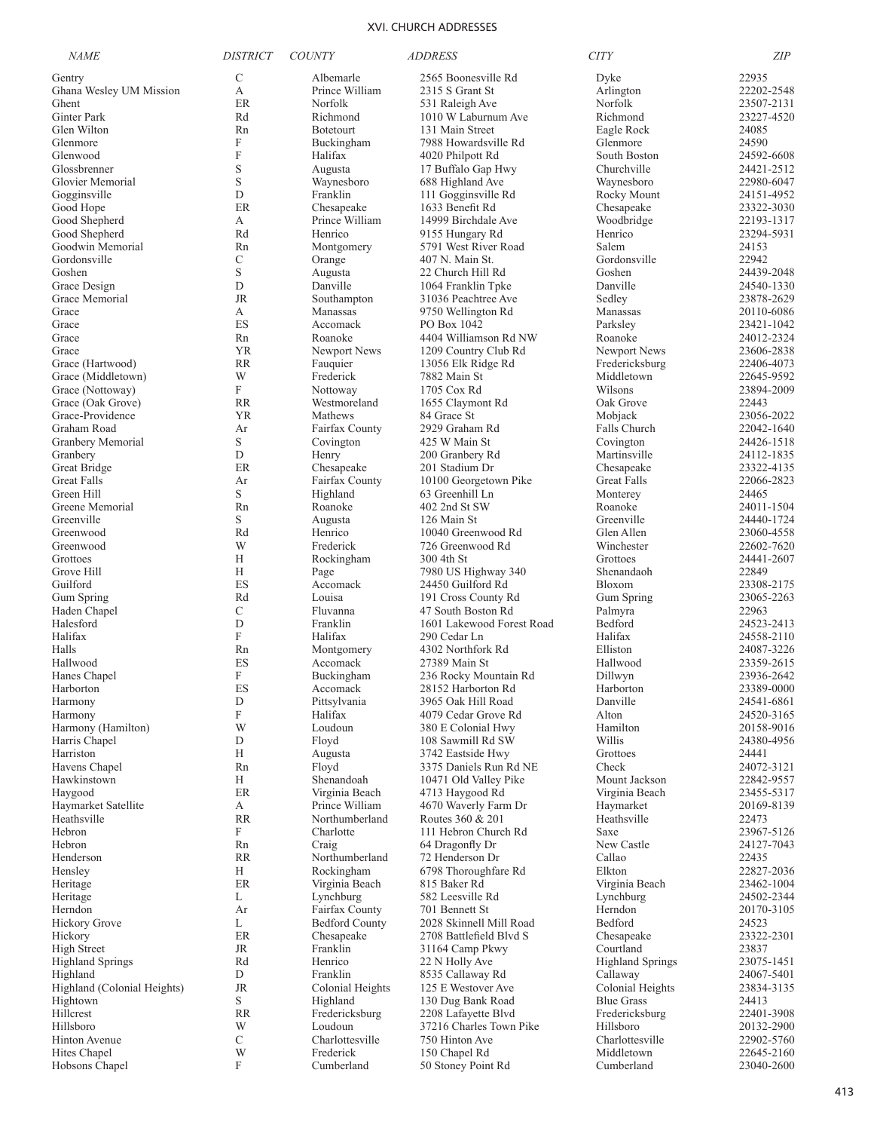| <b>NAME</b>                 | <i>DISTRICT</i> | <b>COUNTY</b>              | <b>ADDRESS</b>                           | <b>CITY</b>                         | ZIP                      |
|-----------------------------|-----------------|----------------------------|------------------------------------------|-------------------------------------|--------------------------|
| Gentry                      | $\mathcal{C}$   | Albemarle                  | 2565 Boonesville Rd                      | Dyke                                | 22935                    |
| Ghana Wesley UM Mission     | А               | Prince William             | 2315 S Grant St                          | Arlington                           | 22202-2548               |
| Ghent                       | <b>ER</b>       | Norfolk                    | 531 Raleigh Ave                          | Norfolk                             | 23507-2131               |
| Ginter Park                 | Rd              | Richmond                   | 1010 W Laburnum Ave                      | Richmond                            | 23227-4520               |
| Glen Wilton                 | Rn              | Botetourt                  | 131 Main Street                          | Eagle Rock                          | 24085                    |
| Glenmore                    | F               | Buckingham                 | 7988 Howardsville Rd                     | Glenmore                            | 24590                    |
| Glenwood                    | F               | Halifax                    | 4020 Philpott Rd                         | South Boston                        | 24592-6608               |
| Glossbrenner                | S               | Augusta                    | 17 Buffalo Gap Hwy                       | Churchville                         | 24421-2512               |
| Glovier Memorial            | S               | Waynesboro                 | 688 Highland Ave                         | Waynesboro                          | 22980-6047               |
| Gogginsville                | D               | Franklin                   | 111 Gogginsville Rd                      | Rocky Mount                         | 24151-4952               |
| Good Hope                   | ER              | Chesapeake                 | 1633 Benefit Rd                          | Chesapeake                          | 23322-3030               |
| Good Shepherd               | А               | Prince William             | 14999 Birchdale Ave                      | Woodbridge                          | 22193-1317               |
| Good Shepherd               | Rd              | Henrico                    | 9155 Hungary Rd                          | Henrico                             | 23294-5931               |
| Goodwin Memorial            | Rn              | Montgomery                 | 5791 West River Road                     | Salem                               | 24153                    |
| Gordonsville                | C               | Orange                     | 407 N. Main St.                          | Gordonsville                        | 22942                    |
| Goshen                      | S               | Augusta                    | 22 Church Hill Rd                        | Goshen                              | 24439-2048               |
| Grace Design                | D<br><b>JR</b>  | Danville                   | 1064 Franklin Tpke                       | Danville                            | 24540-1330               |
| Grace Memorial<br>Grace     | А               | Southampton<br>Manassas    | 31036 Peachtree Ave                      | Sedley                              | 23878-2629<br>20110-6086 |
| Grace                       | ES              | Accomack                   | 9750 Wellington Rd<br>PO Box 1042        | Manassas<br>Parksley                | 23421-1042               |
| Grace                       | Rn              | Roanoke                    | 4404 Williamson Rd NW                    | Roanoke                             | 24012-2324               |
| Grace                       | YR              | Newport News               | 1209 Country Club Rd                     | Newport News                        | 23606-2838               |
| Grace (Hartwood)            | RR              | Fauquier                   | 13056 Elk Ridge Rd                       | Fredericksburg                      | 22406-4073               |
| Grace (Middletown)          | W               | Frederick                  | 7882 Main St                             | Middletown                          | 22645-9592               |
| Grace (Nottoway)            | F               | Nottoway                   | 1705 Cox Rd                              | Wilsons                             | 23894-2009               |
| Grace (Oak Grove)           | <b>RR</b>       | Westmoreland               | 1655 Claymont Rd                         | Oak Grove                           | 22443                    |
| Grace-Providence            | YR              | Mathews                    | 84 Grace St                              | Mobjack                             | 23056-2022               |
| Graham Road                 | Ar              | Fairfax County             | 2929 Graham Rd                           | Falls Church                        | 22042-1640               |
| Granbery Memorial           | S               | Covington                  | 425 W Main St                            | Covington                           | 24426-1518               |
| Granbery                    | D               | Henry                      | 200 Granbery Rd                          | Martinsville                        | 24112-1835               |
| Great Bridge                | ER              | Chesapeake                 | 201 Stadium Dr                           | Chesapeake                          | 23322-4135               |
| Great Falls                 | Ar              | Fairfax County             | 10100 Georgetown Pike                    | Great Falls                         | 22066-2823               |
| Green Hill                  | S               | Highland                   | 63 Greenhill Ln                          | Monterey                            | 24465                    |
| Greene Memorial             | Rn              | Roanoke                    | 402 2nd St SW                            | Roanoke                             | 24011-1504               |
| Greenville                  | S               | Augusta                    | 126 Main St                              | Greenville                          | 24440-1724               |
| Greenwood                   | Rd              | Henrico                    | 10040 Greenwood Rd                       | Glen Allen                          | 23060-4558               |
| Greenwood                   | W               | Frederick                  | 726 Greenwood Rd                         | Winchester                          | 22602-7620               |
| Grottoes                    | Н               | Rockingham                 | 300 4th St                               | Grottoes                            | 24441-2607               |
| Grove Hill                  | Н               | Page                       | 7980 US Highway 340                      | Shenandaoh                          | 22849                    |
| Guilford                    | ES              | Accomack                   | 24450 Guilford Rd                        | Bloxom                              | 23308-2175               |
| Gum Spring                  | Rd              | Louisa                     | 191 Cross County Rd                      | Gum Spring                          | 23065-2263               |
| Haden Chapel                | C               | Fluvanna                   | 47 South Boston Rd                       | Palmyra                             | 22963                    |
| Halesford                   | D               | Franklin                   | 1601 Lakewood Forest Road                | Bedford                             | 24523-2413               |
| Halifax                     | F               | Halifax                    | 290 Cedar Ln                             | Halifax                             | 24558-2110               |
| Halls                       | Rn              | Montgomery                 | 4302 Northfork Rd                        | Elliston<br>Hallwood                | 24087-3226               |
| Hallwood                    | ES<br>F         | Accomack                   | 27389 Main St                            |                                     | 23359-2615<br>23936-2642 |
| Hanes Chapel                | ES              | Buckingham<br>Accomack     | 236 Rocky Mountain Rd                    | Dillwyn<br>Harborton                | 23389-0000               |
| Harborton<br>Harmony        | D               | Pittsylvania               | 28152 Harborton Rd<br>3965 Oak Hill Road | Danville                            | 24541-6861               |
| Harmony                     | F               | Halifax                    | 4079 Cedar Grove Rd                      | Alton                               | 24520-3165               |
| Harmony (Hamilton)          | W               | Loudoun                    | 380 E Colonial Hwy                       | Hamilton                            | 20158-9016               |
| Harris Chapel               | D               | Floyd                      | 108 Sawmill Rd SW                        | Willis                              | 24380-4956               |
| Harriston                   | Н               | Augusta                    | 3742 Eastside Hwy                        | Grottoes                            | 24441                    |
| Havens Chapel               | Rn              | Floyd                      | 3375 Daniels Run Rd NE                   | Check                               | 24072-3121               |
| Hawkinstown                 | Н               | Shenandoah                 | 10471 Old Valley Pike                    | Mount Jackson                       | 22842-9557               |
| Haygood                     | ER              | Virginia Beach             | 4713 Haygood Rd                          | Virginia Beach                      | 23455-5317               |
| Haymarket Satellite         | А               | Prince William             | 4670 Waverly Farm Dr                     | Haymarket                           | 20169-8139               |
| Heathsville                 | RR              | Northumberland             | Routes 360 & 201                         | Heathsville                         | 22473                    |
| Hebron                      | F               | Charlotte                  | 111 Hebron Church Rd                     | Saxe                                | 23967-5126               |
| Hebron                      | Rn              | Craig                      | 64 Dragonfly Dr                          | New Castle                          | 24127-7043               |
| Henderson                   | <b>RR</b>       | Northumberland             | 72 Henderson Dr                          | Callao                              | 22435                    |
| Hensley                     | Н               | Rockingham                 | 6798 Thoroughfare Rd                     | Elkton                              | 22827-2036               |
| Heritage                    | ER              | Virginia Beach             | 815 Baker Rd                             | Virginia Beach                      | 23462-1004               |
| Heritage                    | L               | Lynchburg                  | 582 Leesville Rd                         | Lynchburg                           | 24502-2344               |
| Herndon                     | Ar              | Fairfax County             | 701 Bennett St                           | Herndon                             | 20170-3105               |
| Hickory Grove               | L               | <b>Bedford County</b>      | 2028 Skinnell Mill Road                  | Bedford                             | 24523                    |
| Hickory                     | ER              | Chesapeake                 | 2708 Battlefield Blvd S                  | Chesapeake                          | 23322-2301               |
| <b>High Street</b>          | <b>JR</b>       | Franklin                   | 31164 Camp Pkwy                          | Courtland                           | 23837                    |
| <b>Highland Springs</b>     | Rd              | Henrico                    | 22 N Holly Ave                           | <b>Highland Springs</b>             | 23075-1451               |
| Highland                    | D               | Franklin                   | 8535 Callaway Rd                         | Callaway                            | 24067-5401               |
| Highland (Colonial Heights) | <b>JR</b><br>S  | Colonial Heights           | 125 E Westover Ave                       | Colonial Heights                    | 23834-3135               |
| Hightown<br>Hillcrest       | <b>RR</b>       | Highland<br>Fredericksburg | 130 Dug Bank Road<br>2208 Lafayette Blvd | <b>Blue Grass</b><br>Fredericksburg | 24413<br>22401-3908      |
| Hillsboro                   | W               | Loudoun                    | 37216 Charles Town Pike                  | Hillsboro                           | 20132-2900               |
| <b>Hinton Avenue</b>        | C               | Charlottesville            | 750 Hinton Ave                           | Charlottesville                     | 22902-5760               |
| Hites Chapel                | W               | Frederick                  | 150 Chapel Rd                            | Middletown                          | 22645-2160               |
| Hobsons Chapel              | F               | Cumberland                 | 50 Stoney Point Rd                       | Cumberland                          | 23040-2600               |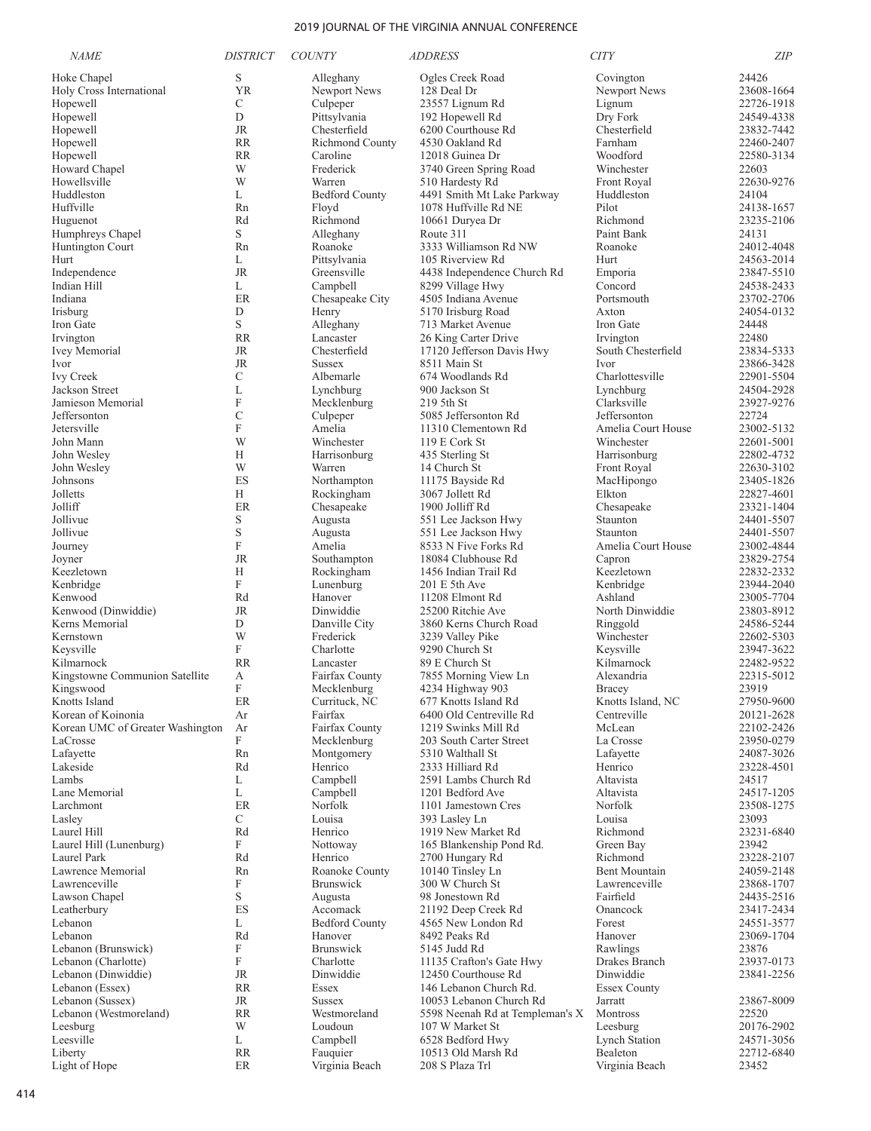| <b>NAME</b>                          | <i><b>DISTRICT</b></i> | <b>COUNTY</b>            | <i>ADDRESS</i>                                  | <b>CITY</b>                      | <b>ZIP</b>               |
|--------------------------------------|------------------------|--------------------------|-------------------------------------------------|----------------------------------|--------------------------|
| Hoke Chapel                          | S                      | Alleghany                | Ogles Creek Road                                | Covington                        | 24426                    |
| Holy Cross International             | <b>YR</b>              | Newport News             | 128 Deal Dr                                     | Newport News                     | 23608-1664               |
| Hopewell                             | C                      | Culpeper                 | 23557 Lignum Rd                                 | Lignum                           | 22726-1918               |
| Hopewell                             | D                      | Pittsylvania             | 192 Hopewell Rd                                 | Dry Fork                         | 24549-4338               |
| Hopewell                             | JR                     | Chesterfield             | 6200 Courthouse Rd                              | Chesterfield                     | 23832-7442               |
| Hopewell                             | <b>RR</b>              | Richmond County          | 4530 Oakland Rd                                 | Farnham                          | 22460-2407               |
| Hopewell                             | <b>RR</b>              | Caroline                 | 12018 Guinea Dr                                 | Woodford                         | 22580-3134               |
| Howard Chapel                        | W                      | Frederick                | 3740 Green Spring Road                          | Winchester                       | 22603                    |
| Howellsville                         | W                      | Warren                   | 510 Hardesty Rd                                 | <b>Front Royal</b>               | 22630-9276               |
| Huddleston                           | L                      | <b>Bedford County</b>    | 4491 Smith Mt Lake Parkway                      | Huddleston                       | 24104                    |
| Huffville                            | Rn                     | Floyd                    | 1078 Huffville Rd NE                            | Pilot                            | 24138-1657               |
| Huguenot                             | Rd<br>S.               | Richmond                 | 10661 Duryea Dr                                 | Richmond<br>Paint Bank           | 23235-2106               |
| Humphreys Chapel<br>Huntington Court | Rn                     | Alleghany<br>Roanoke     | Route 311<br>3333 Williamson Rd NW              | Roanoke                          | 24131<br>24012-4048      |
| Hurt                                 | L                      | Pittsylvania             | 105 Riverview Rd                                | Hurt                             | 24563-2014               |
| Independence                         | JR                     | Greensville              | 4438 Independence Church Rd                     | Emporia                          | 23847-5510               |
| Indian Hill                          | L                      | Campbell                 | 8299 Village Hwy                                | Concord                          | 24538-2433               |
| Indiana                              | ER                     | Chesapeake City          | 4505 Indiana Avenue                             | Portsmouth                       | 23702-2706               |
| Irisburg                             | D                      | Henry                    | 5170 Irisburg Road                              | Axton                            | 24054-0132               |
| Iron Gate                            | S                      | Alleghany                | 713 Market Avenue                               | Iron Gate                        | 24448                    |
| Irvington                            | <b>RR</b>              | Lancaster                | 26 King Carter Drive                            | Irvington                        | 22480                    |
| <b>Ivey Memorial</b>                 | JR                     | Chesterfield             | 17120 Jefferson Davis Hwy                       | South Chesterfield               | 23834-5333               |
| Ivor                                 | <b>JR</b>              | <b>Sussex</b>            | 8511 Main St                                    | Ivor                             | 23866-3428               |
| <b>Ivy Creek</b>                     | C                      | Albemarle                | 674 Woodlands Rd                                | Charlottesville                  | 22901-5504               |
| Jackson Street                       | L                      | Lynchburg                | 900 Jackson St                                  | Lynchburg                        | 24504-2928               |
| Jamieson Memorial                    | $\mathbf F$            | Mecklenburg              | 219 5th St                                      | Clarksville                      | 23927-9276               |
| Jeffersonton                         | $\mathcal{C}$          | Culpeper                 | 5085 Jeffersonton Rd                            | Jeffersonton                     | 22724                    |
| Jetersville                          | F                      | Amelia                   | 11310 Clementown Rd                             | Amelia Court House               | 23002-5132               |
| John Mann                            | W                      | Winchester               | 119 E Cork St                                   | Winchester                       | 22601-5001               |
| John Wesley                          | Н                      | Harrisonburg             | 435 Sterling St                                 | Harrisonburg                     | 22802-4732               |
| John Wesley                          | W                      | Warren                   | 14 Church St                                    | Front Royal                      | 22630-3102               |
| Johnsons                             | ES                     | Northampton              | 11175 Bayside Rd                                | MacHipongo                       | 23405-1826               |
| Jolletts<br>Jolliff                  | H<br>ER                | Rockingham               | 3067 Jollett Rd<br>1900 Jolliff Rd              | Elkton                           | 22827-4601<br>23321-1404 |
| Jollivue                             | S                      | Chesapeake<br>Augusta    | 551 Lee Jackson Hwy                             | Chesapeake<br>Staunton           | 24401-5507               |
| Jollivue                             | S                      | Augusta                  | 551 Lee Jackson Hwy                             | Staunton                         | 24401-5507               |
| Journey                              | $\mathbf F$            | Amelia                   | 8533 N Five Forks Rd                            | Amelia Court House               | 23002-4844               |
| Joyner                               | <b>JR</b>              | Southampton              | 18084 Clubhouse Rd                              | Capron                           | 23829-2754               |
| Keezletown                           | Н                      | Rockingham               | 1456 Indian Trail Rd                            | Keezletown                       | 22832-2332               |
| Kenbridge                            | F                      | Lunenburg                | 201 E 5th Ave                                   | Kenbridge                        | 23944-2040               |
| Kenwood                              | Rd                     | Hanover                  | 11208 Elmont Rd                                 | Ashland                          | 23005-7704               |
| Kenwood (Dinwiddie)                  | <b>JR</b>              | Dinwiddie                | 25200 Ritchie Ave                               | North Dinwiddie                  | 23803-8912               |
| Kerns Memorial                       | D                      | Danville City            | 3860 Kerns Church Road                          | Ringgold                         | 24586-5244               |
| Kernstown                            | W                      | Frederick                | 3239 Valley Pike                                | Winchester                       | 22602-5303               |
| Keysville                            | F                      | Charlotte                | 9290 Church St                                  | Keysville                        | 23947-3622               |
| Kilmarnock                           | <b>RR</b>              | Lancaster                | 89 E Church St                                  | Kilmarnock                       | 22482-9522               |
| Kingstowne Communion Satellite       | А                      | Fairfax County           | 7855 Morning View Ln                            | Alexandria                       | 22315-5012               |
| Kingswood                            | F                      | Mecklenburg              | 4234 Highway 903                                | Bracey                           | 23919<br>27950-9600      |
| Knotts Island<br>Korean of Koinonia  | $\rm ER$<br>Ar         | Currituck, NC<br>Fairfax | 677 Knotts Island Rd<br>6400 Old Centreville Rd | Knotts Island, NC<br>Centreville | 20121-2628               |
| Korean UMC of Greater Washington     | Ar                     | Fairfax County           | 1219 Swinks Mill Rd                             | McLean                           | 22102-2426               |
| LaCrosse                             | F                      | Mecklenburg              | 203 South Carter Street                         | La Crosse                        | 23950-0279               |
| Lafayette                            | Rn                     | Montgomery               | 5310 Walthall St                                | Lafayette                        | 24087-3026               |
| Lakeside                             | Rd                     | Henrico                  | 2333 Hilliard Rd                                | Henrico                          | 23228-4501               |
| Lambs                                | L                      | Campbell                 | 2591 Lambs Church Rd                            | Altavista                        | 24517                    |
| Lane Memorial                        | L                      | Campbell                 | 1201 Bedford Ave                                | Altavista                        | 24517-1205               |
| Larchmont                            | ER                     | Norfolk                  | 1101 Jamestown Cres                             | Norfolk                          | 23508-1275               |
| Lasley                               | C                      | Louisa                   | 393 Lasley Ln                                   | Louisa                           | 23093                    |
| Laurel Hill                          | Rd                     | Henrico                  | 1919 New Market Rd                              | Richmond                         | 23231-6840               |
| Laurel Hill (Lunenburg)              | F                      | Nottoway                 | 165 Blankenship Pond Rd.                        | Green Bay                        | 23942                    |
| Laurel Park                          | Rd                     | Henrico                  | 2700 Hungary Rd                                 | Richmond                         | 23228-2107               |
| Lawrence Memorial                    | Rn                     | Roanoke County           | 10140 Tinsley Ln                                | <b>Bent Mountain</b>             | 24059-2148               |
| Lawrenceville                        | F                      | <b>Brunswick</b>         | 300 W Church St                                 | Lawrenceville                    | 23868-1707               |
| Lawson Chapel                        | S<br>ES                | Augusta<br>Accomack      | 98 Jonestown Rd                                 | Fairfield<br>Onancock            | 24435-2516<br>23417-2434 |
| Leatherbury<br>Lebanon               | L                      | <b>Bedford County</b>    | 21192 Deep Creek Rd<br>4565 New London Rd       | Forest                           | 24551-3577               |
| Lebanon                              | Rd                     | Hanover                  | 8492 Peaks Rd                                   | Hanover                          | 23069-1704               |
| Lebanon (Brunswick)                  | F                      | Brunswick                | 5145 Judd Rd                                    | Rawlings                         | 23876                    |
| Lebanon (Charlotte)                  | F                      | Charlotte                | 11135 Crafton's Gate Hwy                        | Drakes Branch                    | 23937-0173               |
| Lebanon (Dinwiddie)                  | JR                     | Dinwiddie                | 12450 Courthouse Rd                             | Dinwiddie                        | 23841-2256               |
| Lebanon (Essex)                      | <b>RR</b>              | Essex                    | 146 Lebanon Church Rd.                          | <b>Essex County</b>              |                          |
| Lebanon (Sussex)                     | JR                     | <b>Sussex</b>            | 10053 Lebanon Church Rd                         | Jarratt                          | 23867-8009               |
| Lebanon (Westmoreland)               | <b>RR</b>              | Westmoreland             | 5598 Neenah Rd at Templeman's X                 | Montross                         | 22520                    |
| Leesburg                             | W                      | Loudoun                  | 107 W Market St                                 | Leesburg                         | 20176-2902               |
| Leesville                            | L                      | Campbell                 | 6528 Bedford Hwy                                | <b>Lynch Station</b>             | 24571-3056               |
| Liberty                              | <b>RR</b>              | Fauquier                 | 10513 Old Marsh Rd                              | Bealeton                         | 22712-6840               |
| Light of Hope                        | ER                     | Virginia Beach           | 208 S Plaza Trl                                 | Virginia Beach                   | 23452                    |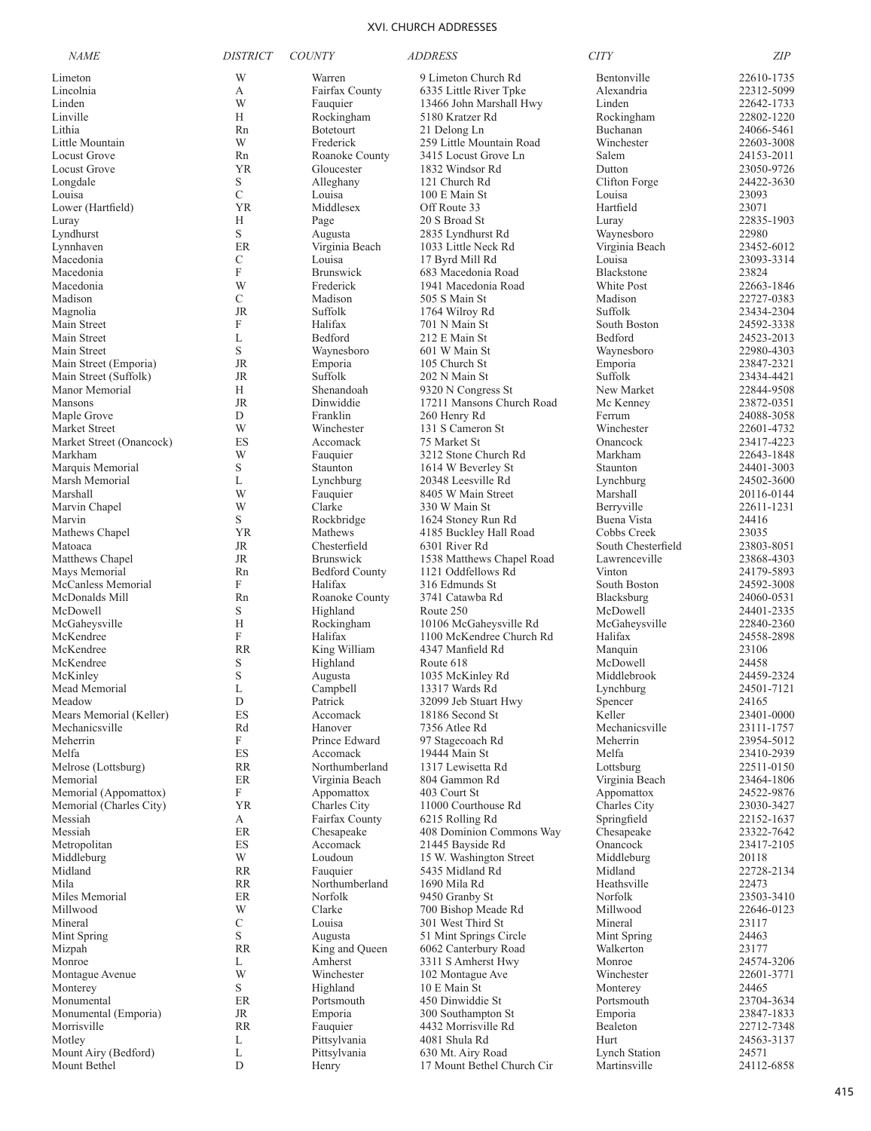| <b>NAME</b>                            | <b>DISTRICT</b> | <b>COUNTY</b>                    | <b>ADDRESS</b>                               | <b>CITY</b>                       | <b>ZIP</b>               |
|----------------------------------------|-----------------|----------------------------------|----------------------------------------------|-----------------------------------|--------------------------|
| Limeton                                | W               | Warren                           | 9 Limeton Church Rd                          | Bentonville                       | 22610-1735               |
| Lincolnia                              | А               | Fairfax County                   | 6335 Little River Tpke                       | Alexandria                        | 22312-5099               |
| Linden                                 | W               | Fauquier                         | 13466 John Marshall Hwy                      | Linden                            | 22642-1733               |
| Linville                               | Н               | Rockingham                       | 5180 Kratzer Rd                              | Rockingham                        | 22802-1220               |
| Lithia                                 | Rn              | <b>Botetourt</b>                 | 21 Delong Ln                                 | Buchanan                          | 24066-5461               |
| Little Mountain<br><b>Locust Grove</b> | W<br>Rn         | Frederick                        | 259 Little Mountain Road                     | Winchester<br>Salem               | 22603-3008               |
| <b>Locust Grove</b>                    | <b>YR</b>       | Roanoke County<br>Gloucester     | 3415 Locust Grove Ln<br>1832 Windsor Rd      | Dutton                            | 24153-2011<br>23050-9726 |
| Longdale                               | S               | Alleghany                        | 121 Church Rd                                | Clifton Forge                     | 24422-3630               |
| Louisa                                 | C               | Louisa                           | 100 E Main St                                | Louisa                            | 23093                    |
| Lower (Hartfield)                      | <b>YR</b>       | Middlesex                        | Off Route 33                                 | Hartfield                         | 23071                    |
| Luray                                  | Н               | Page                             | 20 S Broad St                                | Luray                             | 22835-1903               |
| Lyndhurst                              | S               | Augusta                          | 2835 Lyndhurst Rd                            | Waynesboro                        | 22980                    |
| Lynnhaven                              | ER              | Virginia Beach                   | 1033 Little Neck Rd                          | Virginia Beach                    | 23452-6012               |
| Macedonia                              | C<br>F          | Louisa                           | 17 Byrd Mill Rd                              | Louisa                            | 23093-3314               |
| Macedonia<br>Macedonia                 | W               | <b>Brunswick</b><br>Frederick    | 683 Macedonia Road<br>1941 Macedonia Road    | Blackstone<br>White Post          | 23824<br>22663-1846      |
| Madison                                | C               | Madison                          | 505 S Main St                                | Madison                           | 22727-0383               |
| Magnolia                               | <b>JR</b>       | Suffolk                          | 1764 Wilroy Rd                               | Suffolk                           | 23434-2304               |
| Main Street                            | F               | Halifax                          | 701 N Main St                                | South Boston                      | 24592-3338               |
| Main Street                            | L               | Bedford                          | 212 E Main St                                | Bedford                           | 24523-2013               |
| Main Street                            | S               | Waynesboro                       | 601 W Main St                                | Waynesboro                        | 22980-4303               |
| Main Street (Emporia)                  | <b>JR</b>       | Emporia                          | 105 Church St                                | Emporia                           | 23847-2321               |
| Main Street (Suffolk)                  | JR              | Suffolk                          | 202 N Main St                                | Suffolk                           | 23434-4421               |
| Manor Memorial                         | Н               | Shenandoah                       | 9320 N Congress St                           | New Market                        | 22844-9508               |
| <b>Mansons</b><br>Maple Grove          | <b>JR</b><br>D  | Dinwiddie<br>Franklin            | 17211 Mansons Church Road<br>260 Henry Rd    | Mc Kenney<br>Ferrum               | 23872-0351<br>24088-3058 |
| Market Street                          | W               | Winchester                       | 131 S Cameron St                             | Winchester                        | 22601-4732               |
| Market Street (Onancock)               | ES              | Accomack                         | 75 Market St                                 | Onancock                          | 23417-4223               |
| Markham                                | W               | Fauquier                         | 3212 Stone Church Rd                         | Markham                           | 22643-1848               |
| Marquis Memorial                       | S               | Staunton                         | 1614 W Beverley St                           | Staunton                          | 24401-3003               |
| Marsh Memorial                         | L               | Lynchburg                        | 20348 Leesville Rd                           | Lynchburg                         | 24502-3600               |
| Marshall                               | W               | Fauquier                         | 8405 W Main Street                           | Marshall                          | 20116-0144               |
| Marvin Chapel                          | W               | Clarke                           | 330 W Main St                                | Berryville                        | 22611-1231               |
| Marvin                                 | S<br><b>YR</b>  | Rockbridge<br>Mathews            | 1624 Stoney Run Rd                           | Buena Vista                       | 24416                    |
| Mathews Chapel<br>Matoaca              | <b>JR</b>       | Chesterfield                     | 4185 Buckley Hall Road<br>6301 River Rd      | Cobbs Creek<br>South Chesterfield | 23035<br>23803-8051      |
| Matthews Chapel                        | <b>JR</b>       | <b>Brunswick</b>                 | 1538 Matthews Chapel Road                    | Lawrenceville                     | 23868-4303               |
| Mays Memorial                          | Rn              | <b>Bedford County</b>            | 1121 Oddfellows Rd                           | Vinton                            | 24179-5893               |
| McCanless Memorial                     | F               | Halifax                          | 316 Edmunds St                               | South Boston                      | 24592-3008               |
| McDonalds Mill                         | Rn              | Roanoke County                   | 3741 Catawba Rd                              | Blacksburg                        | 24060-0531               |
| McDowell                               | S               | Highland                         | Route 250                                    | McDowell                          | 24401-2335               |
| McGaheysville                          | Н               | Rockingham                       | 10106 McGaheysville Rd                       | McGaheysville                     | 22840-2360               |
| McKendree<br>McKendree                 | F               | Halifax                          | 1100 McKendree Church Rd<br>4347 Manfield Rd | Halifax                           | 24558-2898               |
| McKendree                              | <b>RR</b><br>S  | King William<br>Highland         | Route 618                                    | Manquin<br>McDowell               | 23106<br>24458           |
| McKinley                               | S               | Augusta                          | 1035 McKinley Rd                             | Middlebrook                       | 24459-2324               |
| Mead Memorial                          | L               | Campbell                         | 13317 Wards Rd                               | Lynchburg                         | 24501-7121               |
| Meadow                                 | D               | Patrick                          | 32099 Jeb Stuart Hwy                         | Spencer                           | 24165                    |
| Mears Memorial (Keller)                | ES              | Accomack                         | 18186 Second St                              | Keller                            | 23401-0000               |
| Mechanicsville                         | Rd              | Hanover                          | 7356 Atlee Rd                                | Mechanicsville                    | 23111-1757               |
| Meherrin                               | F               | Prince Edward                    | 97 Stagecoach Rd                             | Meherrin                          | 23954-5012               |
| Melfa                                  | ES              | Accomack                         | 19444 Main St                                | Melfa                             | 23410-2939               |
| Melrose (Lottsburg)<br>Memorial        | RR<br>ER        | Northumberland<br>Virginia Beach | 1317 Lewisetta Rd<br>804 Gammon Rd           | Lottsburg<br>Virginia Beach       | 22511-0150<br>23464-1806 |
| Memorial (Appomattox)                  | F               | Appomattox                       | 403 Court St                                 | Appomattox                        | 24522-9876               |
| Memorial (Charles City)                | <b>YR</b>       | Charles City                     | 11000 Courthouse Rd                          | Charles City                      | 23030-3427               |
| Messiah                                | А               | Fairfax County                   | 6215 Rolling Rd                              | Springfield                       | 22152-1637               |
| Messiah                                | ER              | Chesapeake                       | 408 Dominion Commons Way                     | Chesapeake                        | 23322-7642               |
| Metropolitan                           | ES              | Accomack                         | 21445 Bayside Rd                             | Onancock                          | 23417-2105               |
| Middleburg                             | W               | Loudoun                          | 15 W. Washington Street                      | Middleburg                        | 20118                    |
| Midland                                | <b>RR</b>       | Fauquier                         | 5435 Midland Rd                              | Midland                           | 22728-2134               |
| Mila<br>Miles Memorial                 | RR<br>ER        | Northumberland<br>Norfolk        | 1690 Mila Rd<br>9450 Granby St               | Heathsville<br>Norfolk            | 22473<br>23503-3410      |
| Millwood                               | W               | Clarke                           | 700 Bishop Meade Rd                          | Millwood                          | 22646-0123               |
| Mineral                                | С               | Louisa                           | 301 West Third St                            | Mineral                           | 23117                    |
| Mint Spring                            | S               | Augusta                          | 51 Mint Springs Circle                       | Mint Spring                       | 24463                    |
| Mizpah                                 | <b>RR</b>       | King and Queen                   | 6062 Canterbury Road                         | Walkerton                         | 23177                    |
| Monroe                                 | L               | Amherst                          | 3311 S Amherst Hwy                           | Monroe                            | 24574-3206               |
| Montague Avenue                        | W               | Winchester                       | 102 Montague Ave                             | Winchester                        | 22601-3771               |
| Monterey                               | S               | Highland                         | 10 E Main St                                 | Monterey                          | 24465                    |
| Monumental<br>Monumental (Emporia)     | ER<br>$\rm JR$  | Portsmouth<br>Emporia            | 450 Dinwiddie St<br>300 Southampton St       | Portsmouth<br>Emporia             | 23704-3634<br>23847-1833 |
| Morrisville                            | <b>RR</b>       | Fauquier                         | 4432 Morrisville Rd                          | Bealeton                          | 22712-7348               |
| Motley                                 | L               | Pittsylvania                     | 4081 Shula Rd                                | Hurt                              | 24563-3137               |
| Mount Airy (Bedford)                   | L               | Pittsylvania                     | 630 Mt. Airy Road                            | <b>Lynch Station</b>              | 24571                    |
| Mount Bethel                           | D               | Henry                            | 17 Mount Bethel Church Cir                   | Martinsville                      | 24112-6858               |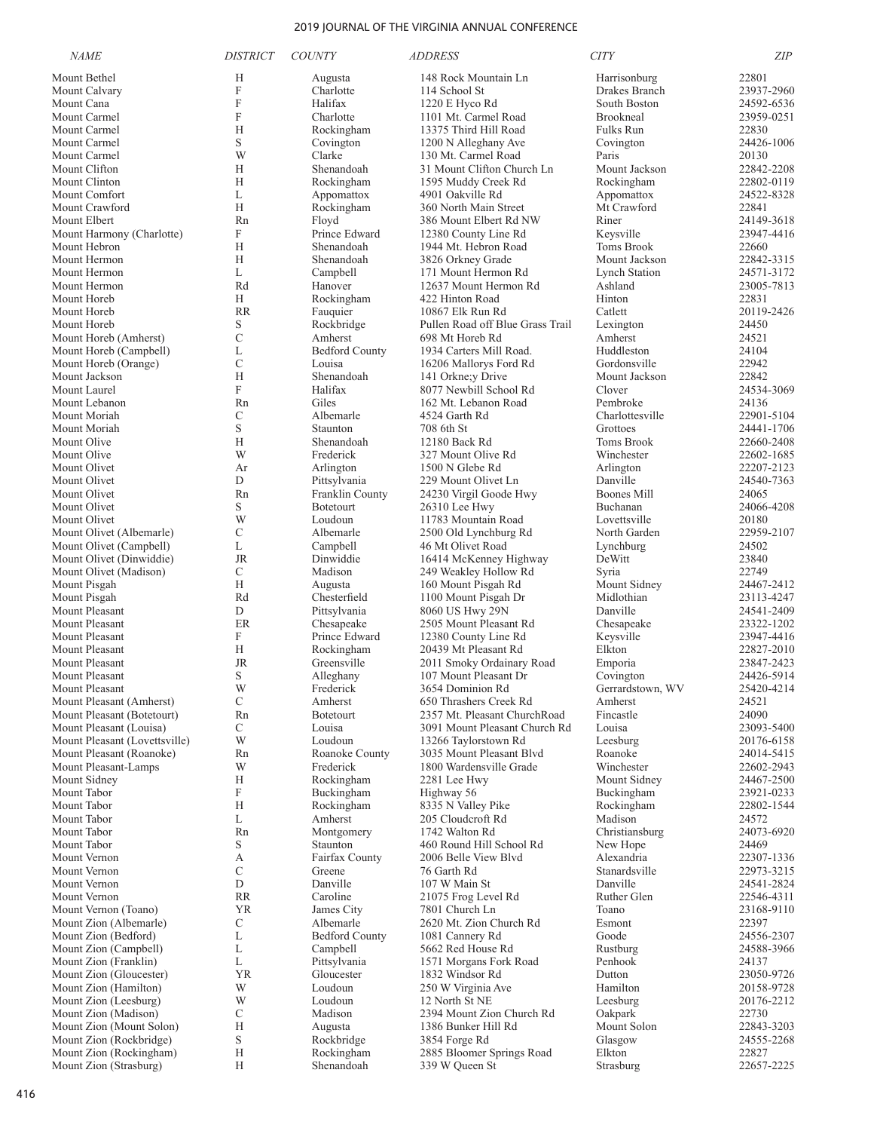| <b>NAME</b>                                               | <b>DISTRICT</b> | <b>COUNTY</b>               | <i>ADDRESS</i>                                   | <b>CITY</b>                           | ZIP                      |
|-----------------------------------------------------------|-----------------|-----------------------------|--------------------------------------------------|---------------------------------------|--------------------------|
| Mount Bethel                                              | Н               | Augusta                     | 148 Rock Mountain Ln                             | Harrisonburg                          | 22801                    |
| Mount Calvary                                             | F               | Charlotte                   | 114 School St                                    | Drakes Branch                         | 23937-2960               |
| Mount Cana                                                | F               | Halifax                     | 1220 E Hyco Rd                                   | South Boston                          | 24592-6536               |
| Mount Carmel                                              | F               | Charlotte                   | 1101 Mt. Carmel Road                             | Brookneal                             | 23959-0251               |
| Mount Carmel                                              | Н<br>S          | Rockingham                  | 13375 Third Hill Road                            | <b>Fulks Run</b>                      | 22830                    |
| Mount Carmel<br>Mount Carmel                              | W               | Covington<br>Clarke         | 1200 N Alleghany Ave<br>130 Mt. Carmel Road      | Covington<br>Paris                    | 24426-1006<br>20130      |
| Mount Clifton                                             | Н               | Shenandoah                  | 31 Mount Clifton Church Ln                       | Mount Jackson                         | 22842-2208               |
| Mount Clinton                                             | H               | Rockingham                  | 1595 Muddy Creek Rd                              | Rockingham                            | 22802-0119               |
| Mount Comfort                                             | L               | Appomattox                  | 4901 Oakville Rd                                 | Appomattox                            | 24522-8328               |
| Mount Crawford                                            | Н               | Rockingham                  | 360 North Main Street                            | Mt Crawford                           | 22841                    |
| Mount Elbert                                              | Rn              | Floyd                       | 386 Mount Elbert Rd NW                           | Riner                                 | 24149-3618               |
| Mount Harmony (Charlotte)                                 | F               | Prince Edward               | 12380 County Line Rd                             | Keysville                             | 23947-4416               |
| Mount Hebron                                              | H               | Shenandoah                  | 1944 Mt. Hebron Road                             | <b>Toms Brook</b>                     | 22660                    |
| Mount Hermon<br>Mount Hermon                              | H<br>L          | Shenandoah                  | 3826 Orkney Grade<br>171 Mount Hermon Rd         | Mount Jackson<br><b>Lynch Station</b> | 22842-3315<br>24571-3172 |
| Mount Hermon                                              | Rd              | Campbell<br>Hanover         | 12637 Mount Hermon Rd                            | Ashland                               | 23005-7813               |
| Mount Horeb                                               | H               | Rockingham                  | 422 Hinton Road                                  | Hinton                                | 22831                    |
| Mount Horeb                                               | <b>RR</b>       | Fauquier                    | 10867 Elk Run Rd                                 | Catlett                               | 20119-2426               |
| Mount Horeb                                               | S               | Rockbridge                  | Pullen Road off Blue Grass Trail                 | Lexington                             | 24450                    |
| Mount Horeb (Amherst)                                     | C               | Amherst                     | 698 Mt Horeb Rd                                  | Amherst                               | 24521                    |
| Mount Horeb (Campbell)                                    | L               | <b>Bedford County</b>       | 1934 Carters Mill Road.                          | Huddleston                            | 24104                    |
| Mount Horeb (Orange)                                      | $\mathcal{C}$   | Louisa                      | 16206 Mallorys Ford Rd                           | Gordonsville                          | 22942                    |
| Mount Jackson                                             | H<br>F          | Shenandoah                  | 141 Orkne; y Drive                               | Mount Jackson<br>Clover               | 22842                    |
| Mount Laurel<br>Mount Lebanon                             | Rn              | Halifax<br>Giles            | 8077 Newbill School Rd<br>162 Mt. Lebanon Road   | Pembroke                              | 24534-3069<br>24136      |
| Mount Moriah                                              | С               | Albemarle                   | 4524 Garth Rd                                    | Charlottesville                       | 22901-5104               |
| Mount Moriah                                              | S               | Staunton                    | 708 6th St                                       | Grottoes                              | 24441-1706               |
| Mount Olive                                               | Н               | Shenandoah                  | 12180 Back Rd                                    | Toms Brook                            | 22660-2408               |
| Mount Olive                                               | W               | Frederick                   | 327 Mount Olive Rd                               | Winchester                            | 22602-1685               |
| Mount Olivet                                              | Ar              | Arlington                   | 1500 N Glebe Rd                                  | Arlington                             | 22207-2123               |
| Mount Olivet                                              | D               | Pittsylvania                | 229 Mount Olivet Ln                              | Danville                              | 24540-7363               |
| Mount Olivet                                              | Rn              | Franklin County             | 24230 Virgil Goode Hwy                           | <b>Boones Mill</b>                    | 24065                    |
| Mount Olivet<br>Mount Olivet                              | S<br>W          | <b>Botetourt</b><br>Loudoun | 26310 Lee Hwy<br>11783 Mountain Road             | Buchanan<br>Lovettsville              | 24066-4208<br>20180      |
| Mount Olivet (Albemarle)                                  | C               | Albemarle                   | 2500 Old Lynchburg Rd                            | North Garden                          | 22959-2107               |
| Mount Olivet (Campbell)                                   | L               | Campbell                    | 46 Mt Olivet Road                                | Lynchburg                             | 24502                    |
| Mount Olivet (Dinwiddie)                                  | <b>JR</b>       | Dinwiddie                   | 16414 McKenney Highway                           | DeWitt                                | 23840                    |
| Mount Olivet (Madison)                                    | C               | Madison                     | 249 Weakley Hollow Rd                            | Syria                                 | 22749                    |
| Mount Pisgah                                              | H               | Augusta                     | 160 Mount Pisgah Rd                              | Mount Sidney                          | 24467-2412               |
| Mount Pisgah                                              | Rd              | Chesterfield                | 1100 Mount Pisgah Dr                             | Midlothian                            | 23113-4247               |
| Mount Pleasant                                            | D               | Pittsylvania                | 8060 US Hwy 29N                                  | Danville                              | 24541-2409               |
| Mount Pleasant<br>Mount Pleasant                          | ER<br>F         | Chesapeake<br>Prince Edward | 2505 Mount Pleasant Rd<br>12380 County Line Rd   | Chesapeake<br>Keysville               | 23322-1202<br>23947-4416 |
| Mount Pleasant                                            | Н               | Rockingham                  | 20439 Mt Pleasant Rd                             | Elkton                                | 22827-2010               |
| Mount Pleasant                                            | <b>JR</b>       | Greensville                 | 2011 Smoky Ordainary Road                        | Emporia                               | 23847-2423               |
| Mount Pleasant                                            | S               | Alleghany                   | 107 Mount Pleasant Dr                            | Covington                             | 24426-5914               |
| Mount Pleasant                                            | W               | Frederick                   | 3654 Dominion Rd                                 | Gerrardstown, WV                      | 25420-4214               |
| Mount Pleasant (Amherst)                                  | С               | Amherst                     | 650 Thrashers Creek Rd                           | Amherst                               | 24521                    |
| Mount Pleasant (Botetourt)                                | Rn              | <b>Botetourt</b>            | 2357 Mt. Pleasant ChurchRoad                     | Fincastle                             | 24090                    |
| Mount Pleasant (Louisa)                                   | C<br>W          | Louisa<br>Loudoun           | 3091 Mount Pleasant Church Rd                    | Louisa                                | 23093-5400               |
| Mount Pleasant (Lovettsville)<br>Mount Pleasant (Roanoke) | Rn              | Roanoke County              | 13266 Taylorstown Rd<br>3035 Mount Pleasant Blvd | Leesburg<br>Roanoke                   | 20176-6158<br>24014-5415 |
| Mount Pleasant-Lamps                                      | W               | Frederick                   | 1800 Wardensville Grade                          | Winchester                            | 22602-2943               |
| Mount Sidney                                              | Н               | Rockingham                  | 2281 Lee Hwy                                     | Mount Sidney                          | 24467-2500               |
| Mount Tabor                                               | F               | Buckingham                  | Highway 56                                       | Buckingham                            | 23921-0233               |
| Mount Tabor                                               | Н               | Rockingham                  | 8335 N Valley Pike                               | Rockingham                            | 22802-1544               |
| Mount Tabor                                               | L               | Amherst                     | 205 Cloudcroft Rd                                | Madison                               | 24572                    |
| Mount Tabor                                               | Rn              | Montgomery                  | 1742 Walton Rd                                   | Christiansburg                        | 24073-6920               |
| Mount Tabor<br>Mount Vernon                               | S               | Staunton<br>Fairfax County  | 460 Round Hill School Rd                         | New Hope<br>Alexandria                | 24469                    |
| Mount Vernon                                              | А<br>C          | Greene                      | 2006 Belle View Blyd<br>76 Garth Rd              | Stanardsville                         | 22307-1336<br>22973-3215 |
| Mount Vernon                                              | D               | Danville                    | 107 W Main St                                    | Danville                              | 24541-2824               |
| Mount Vernon                                              | RR              | Caroline                    | 21075 Frog Level Rd                              | Ruther Glen                           | 22546-4311               |
| Mount Vernon (Toano)                                      | <b>YR</b>       | James City                  | 7801 Church Ln                                   | Toano                                 | 23168-9110               |
| Mount Zion (Albemarle)                                    | С               | Albemarle                   | 2620 Mt. Zion Church Rd                          | Esmont                                | 22397                    |
| Mount Zion (Bedford)                                      | L               | <b>Bedford County</b>       | 1081 Cannery Rd                                  | Goode                                 | 24556-2307               |
| Mount Zion (Campbell)                                     | L               | Campbell                    | 5662 Red House Rd                                | Rustburg                              | 24588-3966               |
| Mount Zion (Franklin)<br>Mount Zion (Gloucester)          | L<br><b>YR</b>  | Pittsylvania<br>Gloucester  | 1571 Morgans Fork Road                           | Penhook                               | 24137                    |
| Mount Zion (Hamilton)                                     | W               | Loudoun                     | 1832 Windsor Rd<br>250 W Virginia Ave            | Dutton<br>Hamilton                    | 23050-9726<br>20158-9728 |
| Mount Zion (Leesburg)                                     | W               | Loudoun                     | 12 North St NE                                   | Leesburg                              | 20176-2212               |
| Mount Zion (Madison)                                      | С               | Madison                     | 2394 Mount Zion Church Rd                        | Oakpark                               | 22730                    |
| Mount Zion (Mount Solon)                                  | H               | Augusta                     | 1386 Bunker Hill Rd                              | Mount Solon                           | 22843-3203               |
| Mount Zion (Rockbridge)                                   | S               | Rockbridge                  | 3854 Forge Rd                                    | Glasgow                               | 24555-2268               |
| Mount Zion (Rockingham)                                   | H               | Rockingham                  | 2885 Bloomer Springs Road                        | Elkton                                | 22827                    |
| Mount Zion (Strasburg)                                    | Н               | Shenandoah                  | 339 W Queen St                                   | Strasburg                             | 22657-2225               |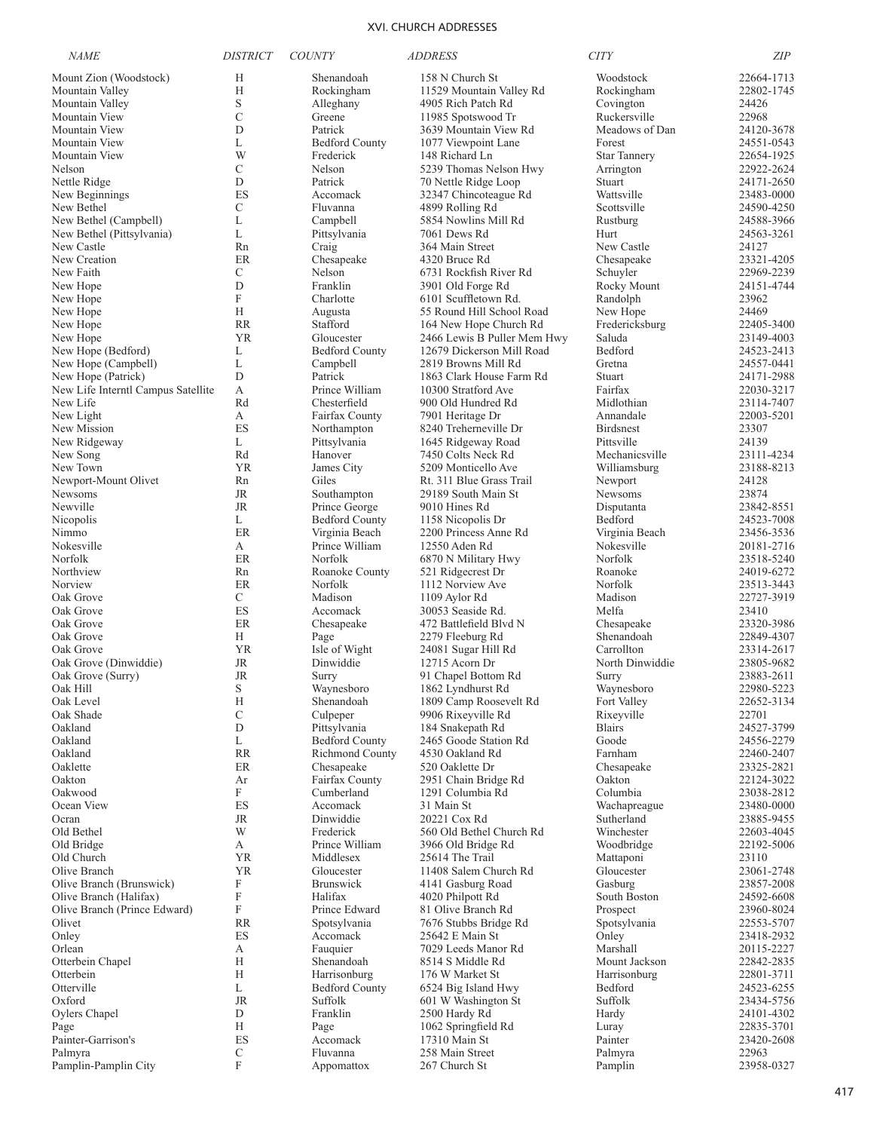| <b>NAME</b>                        | <i>DISTRICT</i>           | <b>COUNTY</b>          | <b>ADDRESS</b>              | <b>CITY</b>         | <b>ZIP</b> |
|------------------------------------|---------------------------|------------------------|-----------------------------|---------------------|------------|
| Mount Zion (Woodstock)             | Н                         | Shenandoah             | 158 N Church St             | Woodstock           | 22664-1713 |
| Mountain Valley                    | H                         | Rockingham             | 11529 Mountain Valley Rd    | Rockingham          | 22802-1745 |
| Mountain Valley                    | S                         | Alleghany              | 4905 Rich Patch Rd          | Covington           | 24426      |
| Mountain View                      | $\mathcal{C}$             | Greene                 | 11985 Spotswood Tr          | Ruckersville        | 22968      |
| Mountain View                      | D                         | Patrick                | 3639 Mountain View Rd       | Meadows of Dan      | 24120-3678 |
| Mountain View                      | L                         | <b>Bedford County</b>  | 1077 Viewpoint Lane         | Forest              | 24551-0543 |
| Mountain View                      | W                         | Frederick              | 148 Richard Ln              | <b>Star Tannery</b> | 22654-1925 |
| Nelson                             | C                         | Nelson                 | 5239 Thomas Nelson Hwy      | Arrington           | 22922-2624 |
| Nettle Ridge                       | D                         | Patrick                | 70 Nettle Ridge Loop        | Stuart              | 24171-2650 |
| New Beginnings                     | ES                        | Accomack               | 32347 Chincoteague Rd       | Wattsville          | 23483-0000 |
| New Bethel                         | $\mathcal{C}$             | Fluvanna               | 4899 Rolling Rd             | Scottsville         | 24590-4250 |
| New Bethel (Campbell)              | L                         | Campbell               | 5854 Nowlins Mill Rd        | Rustburg            | 24588-3966 |
| New Bethel (Pittsylvania)          | L                         | Pittsylvania           | 7061 Dews Rd                | Hurt                | 24563-3261 |
| New Castle                         | Rn                        | Craig                  | 364 Main Street             | New Castle          | 24127      |
| New Creation                       | ER                        | Chesapeake             | 4320 Bruce Rd               | Chesapeake          | 23321-4205 |
| New Faith                          | C                         | Nelson                 | 6731 Rockfish River Rd      | Schuyler            | 22969-2239 |
| New Hope                           | D                         | Franklin               | 3901 Old Forge Rd           | Rocky Mount         | 24151-4744 |
| New Hope                           | $\boldsymbol{\mathrm{F}}$ | Charlotte              | 6101 Scuffletown Rd.        | Randolph            | 23962      |
| New Hope                           | H                         | Augusta                | 55 Round Hill School Road   | New Hope            | 24469      |
| New Hope                           | <b>RR</b>                 | Stafford               | 164 New Hope Church Rd      | Fredericksburg      | 22405-3400 |
| New Hope                           | YR                        | Gloucester             | 2466 Lewis B Puller Mem Hwy | Saluda              | 23149-4003 |
| New Hope (Bedford)                 | L                         | <b>Bedford County</b>  | 12679 Dickerson Mill Road   | Bedford             | 24523-2413 |
| New Hope (Campbell)                | L                         | Campbell               | 2819 Browns Mill Rd         | Gretna              | 24557-0441 |
| New Hope (Patrick)                 | D                         | Patrick                | 1863 Clark House Farm Rd    | Stuart              | 24171-2988 |
| New Life Interntl Campus Satellite | А                         | Prince William         | 10300 Stratford Ave         | Fairfax             | 22030-3217 |
| New Life                           | Rd                        | Chesterfield           | 900 Old Hundred Rd          | Midlothian          | 23114-7407 |
| New Light                          | А                         | Fairfax County         | 7901 Heritage Dr            | Annandale           | 22003-5201 |
| New Mission                        | ES                        | Northampton            | 8240 Treherneville Dr       | Birdsnest           | 23307      |
| New Ridgeway                       | L                         | Pittsylvania           | 1645 Ridgeway Road          | Pittsville          | 24139      |
| New Song                           | Rd                        | Hanover                | 7450 Colts Neck Rd          | Mechanicsville      | 23111-4234 |
| New Town                           | <b>YR</b>                 | James City             | 5209 Monticello Ave         | Williamsburg        | 23188-8213 |
| Newport-Mount Olivet               | Rn                        | Giles                  | Rt. 311 Blue Grass Trail    | Newport             | 24128      |
| Newsoms                            | JR                        | Southampton            | 29189 South Main St         | <b>Newsoms</b>      | 23874      |
| Newville                           | JR                        | Prince George          | 9010 Hines Rd               | Disputanta          | 23842-8551 |
| Nicopolis                          | L                         | <b>Bedford County</b>  | 1158 Nicopolis Dr           | Bedford             | 24523-7008 |
| Nimmo                              | ER                        | Virginia Beach         | 2200 Princess Anne Rd       | Virginia Beach      | 23456-3536 |
| Nokesville                         | А                         | Prince William         | 12550 Aden Rd               | Nokesville          | 20181-2716 |
| Norfolk                            | ER                        | Norfolk                | 6870 N Military Hwy         | Norfolk             | 23518-5240 |
| Northview                          | Rn                        | Roanoke County         | 521 Ridgecrest Dr           | Roanoke             | 24019-6272 |
| Norview                            | ER                        | Norfolk                | 1112 Norview Ave            | Norfolk             | 23513-3443 |
| Oak Grove                          | C                         | Madison                | 1109 Aylor Rd               | Madison             | 22727-3919 |
| Oak Grove                          | ES                        | Accomack               | 30053 Seaside Rd.           | Melfa               | 23410      |
| Oak Grove                          | ER                        | Chesapeake             | 472 Battlefield Blvd N      | Chesapeake          | 23320-3986 |
| Oak Grove                          | Н                         | Page                   | 2279 Fleeburg Rd            | Shenandoah          | 22849-4307 |
| Oak Grove                          | YR                        | Isle of Wight          | 24081 Sugar Hill Rd         | Carrollton          | 23314-2617 |
| Oak Grove (Dinwiddie)              | JR                        | Dinwiddie              | 12715 Acorn Dr              | North Dinwiddie     | 23805-9682 |
| Oak Grove (Surry)                  | JR                        | Surry                  | 91 Chapel Bottom Rd         | Surry               | 23883-2611 |
| Oak Hill                           | S                         | Waynesboro             | 1862 Lyndhurst Rd           | Waynesboro          | 22980-5223 |
| Oak Level                          | H                         | Shenandoah             | 1809 Camp Roosevelt Rd      | Fort Valley         | 22652-3134 |
| Oak Shade                          | $\mathcal{C}$             | Culpeper               | 9906 Rixeyville Rd          | Rixeyville          | 22701      |
| Oakland                            | D                         | Pittsylvania           | 184 Snakepath Rd            | <b>Blairs</b>       | 24527-3799 |
| Oakland                            | L                         | <b>Bedford County</b>  | 2465 Goode Station Rd       | Goode               | 24556-2279 |
| Oakland                            | <b>RR</b>                 | <b>Richmond County</b> | 4530 Oakland Rd             | Farnham             | 22460-2407 |
| Oaklette                           | ER                        | Chesapeake             | 520 Oaklette Dr             | Chesapeake          | 23325-2821 |
| Oakton                             | Ar                        | Fairfax County         | 2951 Chain Bridge Rd        | Oakton              | 22124-3022 |
| Oakwood                            | F                         | Cumberland             | 1291 Columbia Rd            | Columbia            | 23038-2812 |
| Ocean View                         | ES                        | Accomack               | 31 Main St                  | Wachapreague        | 23480-0000 |
| Ocran                              | JR                        | Dinwiddie              | 20221 Cox Rd                | Sutherland          | 23885-9455 |
| Old Bethel                         | W                         | Frederick              | 560 Old Bethel Church Rd    | Winchester          | 22603-4045 |
| Old Bridge                         | A                         | Prince William         | 3966 Old Bridge Rd          | Woodbridge          | 22192-5006 |
| Old Church                         | <b>YR</b>                 | Middlesex              | 25614 The Trail             | Mattaponi           | 23110      |
| Olive Branch                       | <b>YR</b>                 | Gloucester             | 11408 Salem Church Rd       | Gloucester          | 23061-2748 |
| Olive Branch (Brunswick)           | F                         | <b>Brunswick</b>       | 4141 Gasburg Road           | Gasburg             | 23857-2008 |
| Olive Branch (Halifax)             | $\boldsymbol{\mathrm{F}}$ | Halifax                | 4020 Philpott Rd            | South Boston        | 24592-6608 |
| Olive Branch (Prince Edward)       | $\boldsymbol{\mathrm{F}}$ | Prince Edward          | 81 Olive Branch Rd          | Prospect            | 23960-8024 |
| Olivet                             | <b>RR</b>                 | Spotsylvania           | 7676 Stubbs Bridge Rd       | Spotsylvania        | 22553-5707 |
| Onley                              | ES                        | Accomack               | 25642 E Main St             | Onley               | 23418-2932 |
| Orlean                             | А                         | Fauquier               | 7029 Leeds Manor Rd         | Marshall            | 20115-2227 |
| Otterbein Chapel                   | H                         | Shenandoah             | 8514 S Middle Rd            | Mount Jackson       | 22842-2835 |
|                                    | H                         |                        |                             |                     |            |
| Otterbein                          |                           | Harrisonburg           | 176 W Market St             | Harrisonburg        | 22801-3711 |
| Otterville                         | L                         | <b>Bedford County</b>  | 6524 Big Island Hwy         | Bedford             | 24523-6255 |
| Oxford                             | <b>JR</b>                 | Suffolk                | 601 W Washington St         | Suffolk             | 23434-5756 |
| Oylers Chapel                      | D                         | Franklin               | 2500 Hardy Rd               | Hardy               | 24101-4302 |
| Page                               | H                         | Page                   | 1062 Springfield Rd         | Luray               | 22835-3701 |
| Painter-Garrison's                 | ES                        | Accomack               | 17310 Main St               | Painter             | 23420-2608 |
| Palmyra                            | $\mathcal{C}$             | Fluvanna               | 258 Main Street             | Palmyra             | 22963      |

Pamplin-Pamplin City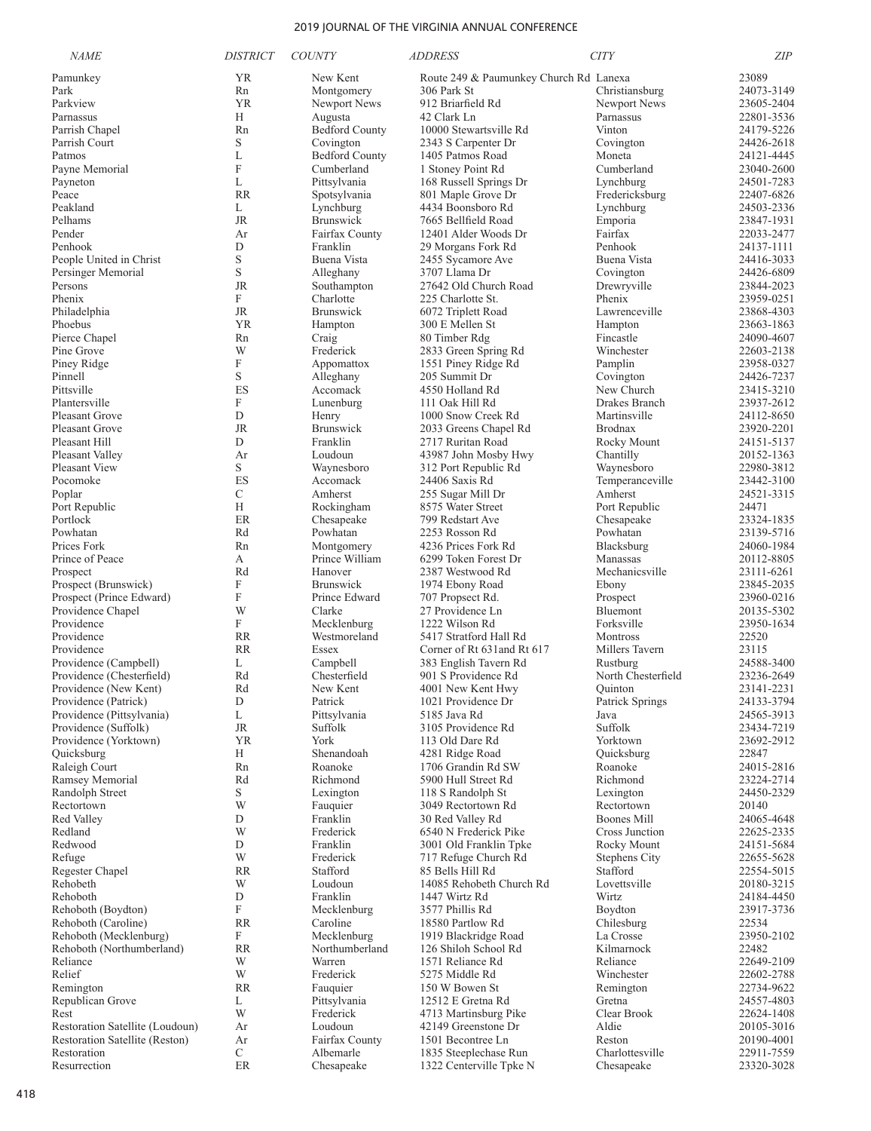| <b>NAME</b>                                       | <b>DISTRICT</b>    | <b>COUNTY</b>                 | <i>ADDRESS</i>                           | <b>CITY</b>                 | <b>ZIP</b>               |
|---------------------------------------------------|--------------------|-------------------------------|------------------------------------------|-----------------------------|--------------------------|
| Pamunkey                                          | YR                 | New Kent                      | Route 249 & Paumunkey Church Rd Lanexa   |                             | 23089                    |
| Park                                              | Rn                 | Montgomery                    | 306 Park St                              | Christiansburg              | 24073-3149               |
| Parkview                                          | YR                 | Newport News                  | 912 Briarfield Rd                        | Newport News                | 23605-2404               |
| Parnassus                                         | Н                  | Augusta                       | 42 Clark Ln                              | Parnassus                   | 22801-3536               |
| Parrish Chapel                                    | Rn                 | <b>Bedford County</b>         | 10000 Stewartsville Rd                   | Vinton                      | 24179-5226               |
| Parrish Court                                     | S                  | Covington                     | 2343 S Carpenter Dr                      | Covington                   | 24426-2618               |
| Patmos                                            | L                  | <b>Bedford County</b>         | 1405 Patmos Road                         | Moneta                      | 24121-4445               |
| Payne Memorial                                    | $\mathbf F$        | Cumberland                    | 1 Stoney Point Rd                        | Cumberland                  | 23040-2600               |
| Payneton                                          | L                  | Pittsylvania                  | 168 Russell Springs Dr                   | Lynchburg                   | 24501-7283               |
| Peace                                             | <b>RR</b>          | Spotsylvania                  | 801 Maple Grove Dr                       | Fredericksburg              | 22407-6826               |
| Peakland                                          | L                  | Lynchburg<br><b>Brunswick</b> | 4434 Boonsboro Rd<br>7665 Bellfield Road | Lynchburg                   | 24503-2336               |
| Pelhams<br>Pender                                 | JR<br>Ar           | Fairfax County                |                                          | Emporia<br>Fairfax          | 23847-1931<br>22033-2477 |
| Penhook                                           | D                  | Franklin                      | 12401 Alder Woods Dr                     | Penhook                     | 24137-1111               |
| People United in Christ                           | S                  | Buena Vista                   | 29 Morgans Fork Rd<br>2455 Sycamore Ave  | Buena Vista                 | 24416-3033               |
| Persinger Memorial                                | S                  | Alleghany                     | 3707 Llama Dr                            | Covington                   | 24426-6809               |
| Persons                                           | <b>JR</b>          | Southampton                   | 27642 Old Church Road                    | Drewryville                 | 23844-2023               |
| Phenix                                            | F                  | Charlotte                     | 225 Charlotte St.                        | Phenix                      | 23959-0251               |
| Philadelphia                                      | JR                 | <b>Brunswick</b>              | 6072 Triplett Road                       | Lawrenceville               | 23868-4303               |
| Phoebus                                           | YR                 | Hampton                       | 300 E Mellen St                          | Hampton                     | 23663-1863               |
| Pierce Chapel                                     | Rn                 | Craig                         | 80 Timber Rdg                            | Fincastle                   | 24090-4607               |
| Pine Grove                                        | W                  | Frederick                     | 2833 Green Spring Rd                     | Winchester                  | 22603-2138               |
| Piney Ridge                                       | $\mathbf F$        | Appomattox                    | 1551 Piney Ridge Rd                      | Pamplin                     | 23958-0327               |
| Pinnell                                           | S                  | Alleghany                     | 205 Summit Dr                            | Covington                   | 24426-7237               |
| Pittsville                                        | ES                 | Accomack                      | 4550 Holland Rd                          | New Church                  | 23415-3210               |
| Plantersville                                     | F                  | Lunenburg                     | 111 Oak Hill Rd                          | Drakes Branch               | 23937-2612               |
| <b>Pleasant Grove</b>                             | D                  | Henry                         | 1000 Snow Creek Rd                       | Martinsville                | 24112-8650               |
| <b>Pleasant Grove</b>                             | <b>JR</b>          | <b>Brunswick</b>              | 2033 Greens Chapel Rd                    | <b>Brodnax</b>              | 23920-2201               |
| Pleasant Hill                                     | D                  | Franklin                      | 2717 Ruritan Road                        | Rocky Mount                 | 24151-5137               |
| Pleasant Valley                                   | Ar                 | Loudoun                       | 43987 John Mosby Hwy                     | Chantilly                   | 20152-1363               |
| <b>Pleasant View</b>                              | S                  | Waynesboro                    | 312 Port Republic Rd                     | Waynesboro                  | 22980-3812               |
| Pocomoke                                          | ES                 | Accomack                      | 24406 Saxis Rd                           | Temperanceville             | 23442-3100               |
| Poplar                                            | $\mathcal{C}$<br>H | Amherst                       | 255 Sugar Mill Dr                        | Amherst                     | 24521-3315               |
| Port Republic<br>Portlock                         | ER                 | Rockingham<br>Chesapeake      | 8575 Water Street<br>799 Redstart Ave    | Port Republic<br>Chesapeake | 24471<br>23324-1835      |
| Powhatan                                          | Rd                 | Powhatan                      | 2253 Rosson Rd                           | Powhatan                    | 23139-5716               |
| Prices Fork                                       | Rn                 | Montgomery                    | 4236 Prices Fork Rd                      | Blacksburg                  | 24060-1984               |
| Prince of Peace                                   | А                  | Prince William                | 6299 Token Forest Dr                     | Manassas                    | 20112-8805               |
| Prospect                                          | Rd                 | Hanover                       | 2387 Westwood Rd                         | Mechanicsville              | 23111-6261               |
| Prospect (Brunswick)                              | F                  | <b>Brunswick</b>              | 1974 Ebony Road                          | Ebony                       | 23845-2035               |
| Prospect (Prince Edward)                          | F                  | Prince Edward                 | 707 Propsect Rd.                         | Prospect                    | 23960-0216               |
| Providence Chapel                                 | W                  | Clarke                        | 27 Providence Ln                         | Bluemont                    | 20135-5302               |
| Providence                                        | F                  | Mecklenburg                   | 1222 Wilson Rd                           | Forksville                  | 23950-1634               |
| Providence                                        | <b>RR</b>          | Westmoreland                  | 5417 Stratford Hall Rd                   | Montross                    | 22520                    |
| Providence                                        | <b>RR</b>          | Essex                         | Corner of Rt 631 and Rt 617              | Millers Tavern              | 23115                    |
| Providence (Campbell)                             | L                  | Campbell                      | 383 English Tavern Rd                    | Rustburg                    | 24588-3400               |
| Providence (Chesterfield)                         | Rd                 | Chesterfield                  | 901 S Providence Rd                      | North Chesterfield          | 23236-2649               |
| Providence (New Kent)                             | Rd                 | New Kent                      | 4001 New Kent Hwy                        | Ouinton                     | 23141-2231               |
| Providence (Patrick)<br>Providence (Pittsylvania) | D                  | Patrick                       | 1021 Providence Dr                       | Patrick Springs             | 24133-3794               |
| Providence (Suffolk)                              | L<br><b>JR</b>     | Pittsylvania<br>Suffolk       | 5185 Java Rd<br>3105 Providence Rd       | Java<br>Suffolk             | 24565-3913<br>23434-7219 |
| Providence (Yorktown)                             | YR.                | York                          | 113 Old Dare Rd                          | Yorktown                    | 23692-2912               |
| Quicksburg                                        | Н                  | Shenandoah                    | 4281 Ridge Road                          | Quicksburg                  | 22847                    |
| Raleigh Court                                     | Rn                 | Roanoke                       | 1706 Grandin Rd SW                       | Roanoke                     | 24015-2816               |
| Ramsey Memorial                                   | Rd                 | Richmond                      | 5900 Hull Street Rd                      | Richmond                    | 23224-2714               |
| Randolph Street                                   | S                  | Lexington                     | 118 S Randolph St                        | Lexington                   | 24450-2329               |
| Rectortown                                        | W                  | Fauquier                      | 3049 Rectortown Rd                       | Rectortown                  | 20140                    |
| Red Valley                                        | D                  | Franklin                      | 30 Red Valley Rd                         | <b>Boones Mill</b>          | 24065-4648               |
| Redland                                           | W                  | Frederick                     | 6540 N Frederick Pike                    | Cross Junction              | 22625-2335               |
| Redwood                                           | D                  | Franklin                      | 3001 Old Franklin Tpke                   | Rocky Mount                 | 24151-5684               |
| Refuge                                            | W                  | Frederick                     | 717 Refuge Church Rd                     | <b>Stephens City</b>        | 22655-5628               |
| Regester Chapel                                   | <b>RR</b>          | Stafford                      | 85 Bells Hill Rd                         | Stafford                    | 22554-5015               |
| Rehobeth                                          | W                  | Loudoun                       | 14085 Rehobeth Church Rd                 | Lovettsville                | 20180-3215               |
| Rehoboth                                          | D                  | Franklin                      | 1447 Wirtz Rd                            | Wirtz                       | 24184-4450               |
| Rehoboth (Boydton)                                | F                  | Mecklenburg                   | 3577 Phillis Rd                          | Boydton                     | 23917-3736               |
| Rehoboth (Caroline)<br>Rehoboth (Mecklenburg)     | <b>RR</b><br>F     | Caroline<br>Mecklenburg       | 18580 Partlow Rd<br>1919 Blackridge Road | Chilesburg<br>La Crosse     | 22534<br>23950-2102      |
| Rehoboth (Northumberland)                         | <b>RR</b>          | Northumberland                | 126 Shiloh School Rd                     | Kilmarnock                  | 22482                    |
| Reliance                                          | W                  | Warren                        | 1571 Reliance Rd                         | Reliance                    | 22649-2109               |
| Relief                                            | W                  | Frederick                     | 5275 Middle Rd                           | Winchester                  | 22602-2788               |
| Remington                                         | <b>RR</b>          | Fauquier                      | 150 W Bowen St                           | Remington                   | 22734-9622               |
| Republican Grove                                  | L                  | Pittsylvania                  | 12512 E Gretna Rd                        | Gretna                      | 24557-4803               |
| Rest                                              | W                  | Frederick                     | 4713 Martinsburg Pike                    | Clear Brook                 | 22624-1408               |
| Restoration Satellite (Loudoun)                   | Ar                 | Loudoun                       | 42149 Greenstone Dr                      | Aldie                       | 20105-3016               |
| Restoration Satellite (Reston)                    | Ar                 | Fairfax County                | 1501 Becontree Ln                        | Reston                      | 20190-4001               |
| Restoration                                       | $\mathcal{C}$      | Albemarle                     | 1835 Steeplechase Run                    | Charlottesville             | 22911-7559               |
| Resurrection                                      | $\rm ER$           | Chesapeake                    | 1322 Centerville Tpke N                  | Chesapeake                  | 23320-3028               |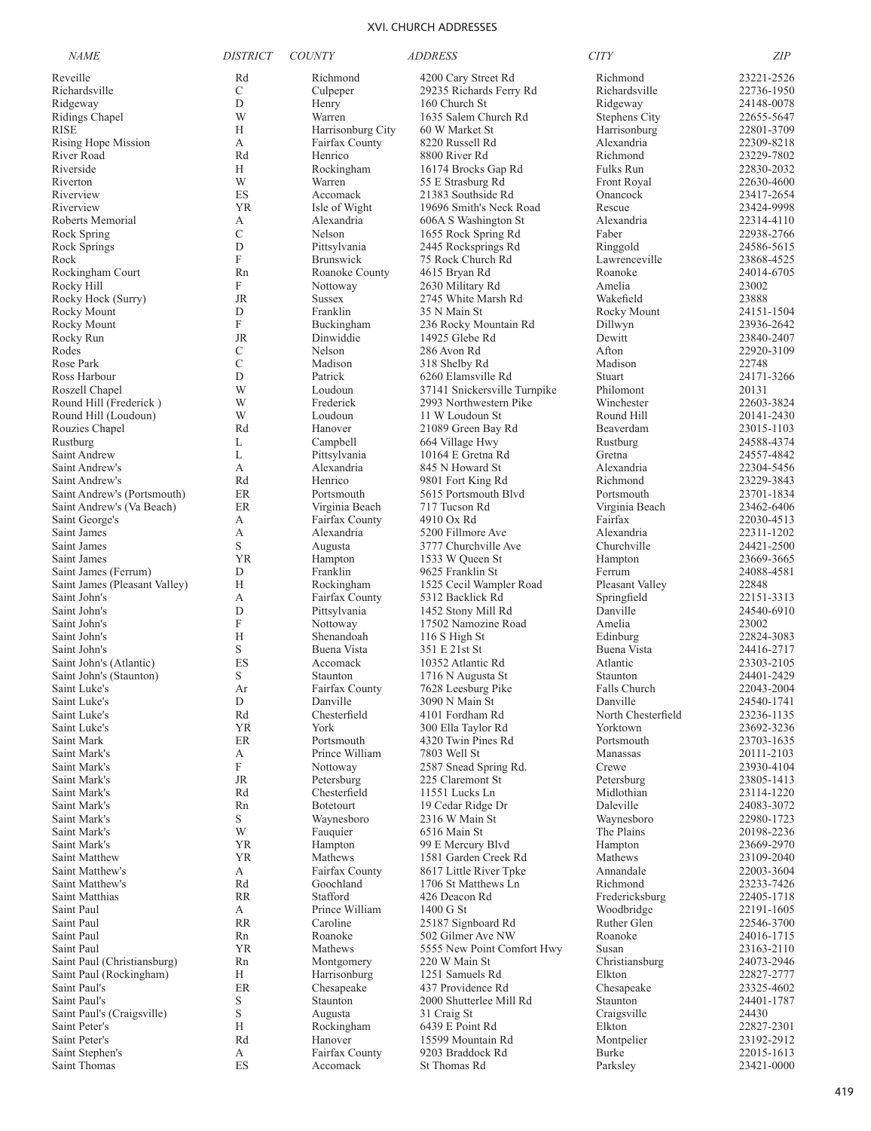| <b>NAME</b>                                 | <b>DISTRICT</b> | <b>COUNTY</b>                    | <b>ADDRESS</b>                                  | <b>CITY</b>                    | ZIP                      |
|---------------------------------------------|-----------------|----------------------------------|-------------------------------------------------|--------------------------------|--------------------------|
| Reveille                                    | Rd              | Richmond                         | 4200 Cary Street Rd                             | Richmond                       | 23221-2526               |
| Richardsville                               | $\mathcal{C}$   | Culpeper                         | 29235 Richards Ferry Rd                         | Richardsville                  | 22736-1950               |
| Ridgeway                                    | D               | Henry                            | 160 Church St                                   | Ridgeway                       | 24148-0078               |
| Ridings Chapel                              | W               | Warren                           | 1635 Salem Church Rd                            | <b>Stephens City</b>           | 22655-5647               |
| RISE                                        | Н               | Harrisonburg City                | 60 W Market St                                  | Harrisonburg                   | 22801-3709               |
| Rising Hope Mission                         | А               | Fairfax County                   | 8220 Russell Rd                                 | Alexandria                     | 22309-8218               |
| River Road                                  | Rd              | Henrico                          | 8800 River Rd                                   | Richmond                       | 23229-7802               |
| Riverside                                   | H               | Rockingham                       | 16174 Brocks Gap Rd                             | Fulks Run                      | 22830-2032               |
| Riverton                                    | W               | Warren                           | 55 E Strasburg Rd                               | Front Royal                    | 22630-4600               |
| Riverview                                   | ES              | Accomack                         | 21383 Southside Rd                              | Onancock                       | 23417-2654               |
| Riverview                                   | <b>YR</b>       | Isle of Wight                    | 19696 Smith's Neck Road                         | Rescue                         | 23424-9998               |
| Roberts Memorial                            | А               | Alexandria                       | 606A S Washington St                            | Alexandria                     | 22314-4110               |
| Rock Spring                                 | $\mathcal{C}$   | Nelson                           | 1655 Rock Spring Rd                             | Faber                          | 22938-2766               |
| Rock Springs<br>Rock                        | D<br>${\bf F}$  | Pittsylvania<br><b>Brunswick</b> | 2445 Rocksprings Rd<br>75 Rock Church Rd        | Ringgold<br>Lawrenceville      | 24586-5615<br>23868-4525 |
| Rockingham Court                            | Rn              | Roanoke County                   | 4615 Bryan Rd                                   | Roanoke                        | 24014-6705               |
| Rocky Hill                                  | F               | Nottoway                         | 2630 Military Rd                                | Amelia                         | 23002                    |
| Rocky Hock (Surry)                          | <b>JR</b>       | <b>Sussex</b>                    | 2745 White Marsh Rd                             | Wakefield                      | 23888                    |
| Rocky Mount                                 | D               | Franklin                         | 35 N Main St                                    | Rocky Mount                    | 24151-1504               |
| Rocky Mount                                 | F               | Buckingham                       | 236 Rocky Mountain Rd                           | Dillwyn                        | 23936-2642               |
| Rocky Run                                   | <b>JR</b>       | Dinwiddie                        | 14925 Glebe Rd                                  | Dewitt                         | 23840-2407               |
| Rodes                                       | $\mathcal{C}$   | Nelson                           | 286 Avon Rd                                     | Afton                          | 22920-3109               |
| Rose Park                                   | C               | Madison                          | 318 Shelby Rd                                   | Madison                        | 22748                    |
| Ross Harbour                                | D               | Patrick                          | 6260 Elamsville Rd                              | Stuart                         | 24171-3266               |
| Roszell Chapel                              | W               | Loudoun                          | 37141 Snickersville Turnpike                    | Philomont                      | 20131                    |
| Round Hill (Frederick)                      | W               | Frederick                        | 2993 Northwestern Pike                          | Winchester                     | 22603-3824               |
| Round Hill (Loudoun)                        | W               | Loudoun                          | 11 W Loudoun St                                 | Round Hill                     | 20141-2430               |
| Rouzies Chapel                              | Rd              | Hanover                          | 21089 Green Bay Rd                              | Beaverdam                      | 23015-1103               |
| Rustburg                                    | L               | Campbell                         | 664 Village Hwy                                 | Rustburg                       | 24588-4374               |
| Saint Andrew                                | L               | Pittsylvania                     | 10164 E Gretna Rd                               | Gretna                         | 24557-4842               |
| Saint Andrew's                              | А               | Alexandria                       | 845 N Howard St                                 | Alexandria                     | 22304-5456               |
| Saint Andrew's                              | Rd              | Henrico                          | 9801 Fort King Rd                               | Richmond                       | 23229-3843               |
| Saint Andrew's (Portsmouth)                 | ER<br>ER        | Portsmouth                       | 5615 Portsmouth Blvd<br>717 Tucson Rd           | Portsmouth                     | 23701-1834<br>23462-6406 |
| Saint Andrew's (Va Beach)<br>Saint George's | А               | Virginia Beach<br>Fairfax County | 4910 Ox Rd                                      | Virginia Beach<br>Fairfax      | 22030-4513               |
| Saint James                                 | А               | Alexandria                       | 5200 Fillmore Ave                               | Alexandria                     | 22311-1202               |
| Saint James                                 | S               | Augusta                          | 3777 Churchville Ave                            | Churchville                    | 24421-2500               |
| Saint James                                 | <b>YR</b>       | Hampton                          | 1533 W Queen St                                 | Hampton                        | 23669-3665               |
| Saint James (Ferrum)                        | D               | Franklin                         | 9625 Franklin St                                | Ferrum                         | 24088-4581               |
| Saint James (Pleasant Valley)               | H               | Rockingham                       | 1525 Cecil Wampler Road                         | Pleasant Valley                | 22848                    |
| Saint John's                                | А               | Fairfax County                   | 5312 Backlick Rd                                | Springfield                    | 22151-3313               |
| Saint John's                                | D               | Pittsylvania                     | 1452 Stony Mill Rd                              | Danville                       | 24540-6910               |
| Saint John's                                | F               | Nottoway                         | 17502 Namozine Road                             | Amelia                         | 23002                    |
| Saint John's                                | H               | Shenandoah                       | 116 S High St                                   | Edinburg                       | 22824-3083               |
| Saint John's                                | S               | Buena Vista                      | 351 E 21st St                                   | Buena Vista                    | 24416-2717               |
| Saint John's (Atlantic)                     | ES              | Accomack                         | 10352 Atlantic Rd                               | Atlantic                       | 23303-2105               |
| Saint John's (Staunton)                     | S               | Staunton                         | 1716 N Augusta St                               | Staunton                       | 24401-2429               |
| Saint Luke's                                | Ar              | Fairfax County                   | 7628 Leesburg Pike                              | Falls Church                   | 22043-2004               |
| Saint Luke's                                | $\mathbf D$     | Danville<br>Chesterfield         | 3090 N Main St                                  | Danville                       | 24540-1741               |
| Saint Luke's<br>Saint Luke's                | Rd<br>YR        | York                             | 4101 Fordham Rd<br>300 Ella Taylor Rd           | North Chesterfield<br>Yorktown | 23236-1135<br>23692-3236 |
| Saint Mark                                  | ER              | Portsmouth                       | 4320 Twin Pines Rd                              | Portsmouth                     | 23703-1635               |
| Saint Mark's                                | А               | Prince William                   | 7803 Well St                                    | Manassas                       | 20111-2103               |
| Saint Mark's                                | F               | Nottoway                         | 2587 Snead Spring Rd.                           | Crewe                          | 23930-4104               |
| Saint Mark's                                | JR              | Petersburg                       | 225 Claremont St                                | Petersburg                     | 23805-1413               |
| Saint Mark's                                | Rd              | Chesterfield                     | 11551 Lucks Ln                                  | Midlothian                     | 23114-1220               |
| Saint Mark's                                | Rn              | <b>Botetourt</b>                 | 19 Cedar Ridge Dr                               | Daleville                      | 24083-3072               |
| Saint Mark's                                | $\mathbf S$     | Waynesboro                       | 2316 W Main St                                  | Waynesboro                     | 22980-1723               |
| Saint Mark's                                | W               | Fauquier                         | 6516 Main St                                    | The Plains                     | 20198-2236               |
| Saint Mark's                                | <b>YR</b>       | Hampton                          | 99 E Mercury Blvd                               | Hampton                        | 23669-2970               |
| Saint Matthew                               | <b>YR</b>       | Mathews                          | 1581 Garden Creek Rd                            | Mathews                        | 23109-2040               |
| Saint Matthew's                             | A               | Fairfax County                   | 8617 Little River Tpke                          | Annandale                      | 22003-3604               |
| Saint Matthew's                             | Rd              | Goochland                        | 1706 St Matthews Ln                             | Richmond                       | 23233-7426               |
| Saint Matthias                              | <b>RR</b>       | Stafford                         | 426 Deacon Rd                                   | Fredericksburg                 | 22405-1718               |
| Saint Paul                                  | А               | Prince William                   | 1400 G St                                       | Woodbridge                     | 22191-1605               |
| Saint Paul                                  | <b>RR</b>       | Caroline                         | 25187 Signboard Rd                              | Ruther Glen                    | 22546-3700               |
| Saint Paul<br>Saint Paul                    | Rn<br><b>YR</b> | Roanoke<br>Mathews               | 502 Gilmer Ave NW<br>5555 New Point Comfort Hwy | Roanoke<br>Susan               | 24016-1715<br>23163-2110 |
| Saint Paul (Christiansburg)                 | Rn              | Montgomery                       | 220 W Main St                                   | Christiansburg                 | 24073-2946               |
| Saint Paul (Rockingham)                     | H               | Harrisonburg                     | 1251 Samuels Rd                                 | Elkton                         | 22827-2777               |
| Saint Paul's                                | ER              | Chesapeake                       | 437 Providence Rd                               | Chesapeake                     | 23325-4602               |
| Saint Paul's                                | S               | Staunton                         | 2000 Shutterlee Mill Rd                         | Staunton                       | 24401-1787               |
| Saint Paul's (Craigsville)                  | $\mathbf S$     | Augusta                          | 31 Craig St                                     | Craigsville                    | 24430                    |
| Saint Peter's                               | Н               | Rockingham                       | 6439 E Point Rd                                 | Elkton                         | 22827-2301               |
| Saint Peter's                               | Rd              | Hanover                          | 15599 Mountain Rd                               | Montpelier                     | 23192-2912               |
| Saint Stephen's                             | А               | Fairfax County                   | 9203 Braddock Rd                                | Burke                          | 22015-1613               |
| Saint Thomas                                | ES              | Accomack                         | St Thomas Rd                                    | Parksley                       | 23421-0000               |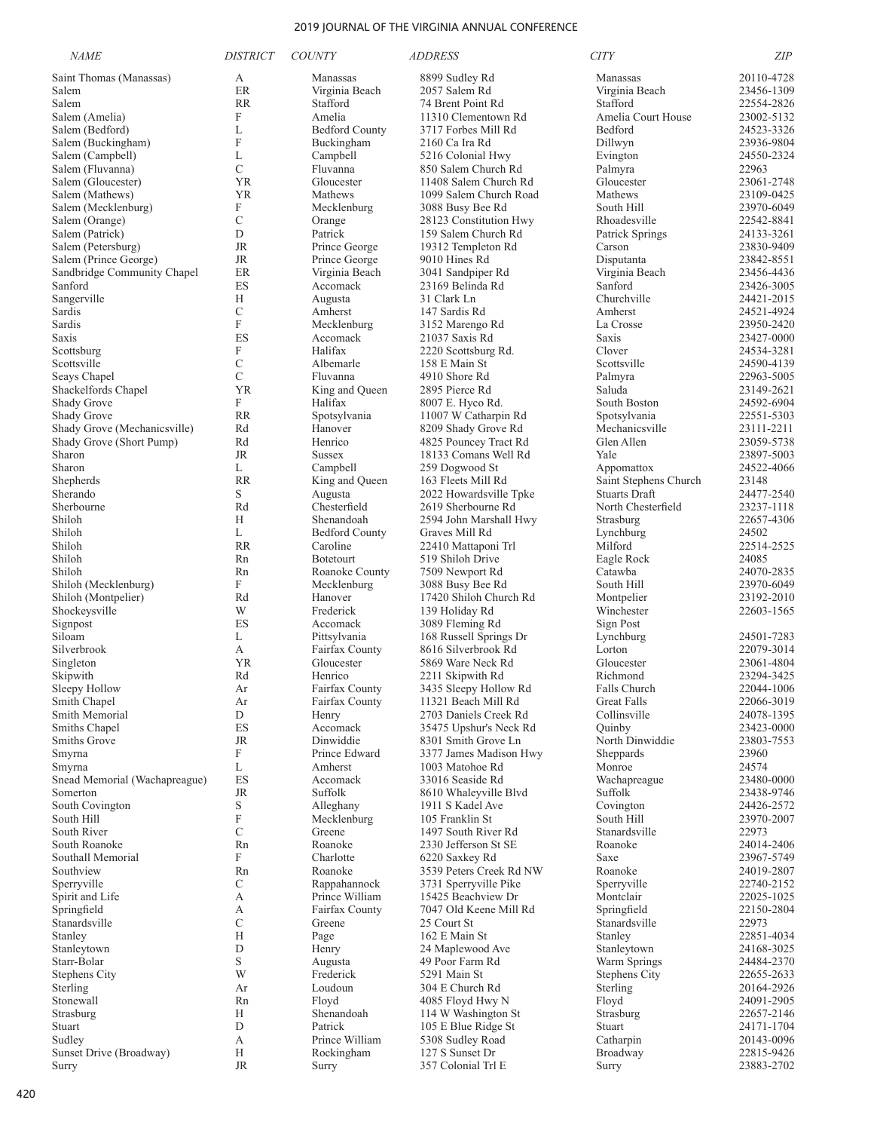| <b>NAME</b>                           | <i>DISTRICT</i>           | <b>COUNTY</b>             | <i>ADDRESS</i>                                | <b>CITY</b>                 | <b>ZIP</b>               |
|---------------------------------------|---------------------------|---------------------------|-----------------------------------------------|-----------------------------|--------------------------|
| Saint Thomas (Manassas)               | А                         | Manassas                  | 8899 Sudley Rd                                | Manassas                    | 20110-4728               |
| Salem                                 | ER                        | Virginia Beach            | 2057 Salem Rd                                 | Virginia Beach              | 23456-1309               |
| Salem                                 | <b>RR</b>                 | Stafford                  | 74 Brent Point Rd                             | Stafford                    | 22554-2826               |
| Salem (Amelia)                        | $\mathbf F$               | Amelia                    | 11310 Clementown Rd                           | Amelia Court House          | 23002-5132               |
| Salem (Bedford)                       | L                         | <b>Bedford County</b>     | 3717 Forbes Mill Rd                           | Bedford                     | 24523-3326               |
| Salem (Buckingham)                    | F                         | Buckingham                | 2160 Ca Ira Rd                                | Dillwyn                     | 23936-9804               |
| Salem (Campbell)                      | L                         | Campbell                  | 5216 Colonial Hwy                             | Evington                    | 24550-2324               |
| Salem (Fluvanna)                      | $\mathcal{C}$             | Fluvanna                  | 850 Salem Church Rd                           | Palmyra                     | 22963                    |
| Salem (Gloucester)                    | <b>YR</b>                 | Gloucester<br>Mathews     | 11408 Salem Church Rd                         | Gloucester                  | 23061-2748               |
| Salem (Mathews)                       | <b>YR</b><br>F            | Mecklenburg               | 1099 Salem Church Road                        | Mathews<br>South Hill       | 23109-0425               |
| Salem (Mecklenburg)<br>Salem (Orange) | $\mathcal{C}$             | Orange                    | 3088 Busy Bee Rd<br>28123 Constitution Hwy    | Rhoadesville                | 23970-6049<br>22542-8841 |
| Salem (Patrick)                       | D                         | Patrick                   | 159 Salem Church Rd                           | Patrick Springs             | 24133-3261               |
| Salem (Petersburg)                    | <b>JR</b>                 | Prince George             | 19312 Templeton Rd                            | Carson                      | 23830-9409               |
| Salem (Prince George)                 | <b>JR</b>                 | Prince George             | 9010 Hines Rd                                 | Disputanta                  | 23842-8551               |
| Sandbridge Community Chapel           | ER                        | Virginia Beach            | 3041 Sandpiper Rd                             | Virginia Beach              | 23456-4436               |
| Sanford                               | ES                        | Accomack                  | 23169 Belinda Rd                              | Sanford                     | 23426-3005               |
| Sangerville                           | H                         | Augusta                   | 31 Clark Ln                                   | Churchville                 | 24421-2015               |
| Sardis                                | $\mathcal{C}$             | Amherst                   | 147 Sardis Rd                                 | Amherst                     | 24521-4924               |
| Sardis                                | $\mathbf F$               | Mecklenburg               | 3152 Marengo Rd                               | La Crosse                   | 23950-2420               |
| Saxis                                 | ES                        | Accomack                  | 21037 Saxis Rd                                | Saxis                       | 23427-0000               |
| Scottsburg                            | F                         | Halifax                   | 2220 Scottsburg Rd.                           | Clover                      | 24534-3281               |
| Scottsville                           | $\mathcal{C}$             | Albemarle                 | 158 E Main St                                 | Scottsville                 | 24590-4139               |
| Seavs Chapel                          | $\mathcal{C}$             | Fluvanna                  | 4910 Shore Rd                                 | Palmyra                     | 22963-5005               |
| Shackelfords Chapel                   | <b>YR</b>                 | King and Queen            | 2895 Pierce Rd                                | Saluda                      | 23149-2621               |
| Shady Grove                           | F                         | Halifax                   | 8007 E. Hyco Rd.                              | South Boston                | 24592-6904               |
| Shady Grove                           | <b>RR</b>                 | Spotsylvania              | 11007 W Catharpin Rd                          | Spotsylvania                | 22551-5303               |
| Shady Grove (Mechanicsville)          | Rd                        | Hanover                   | 8209 Shady Grove Rd                           | Mechanicsville              | 23111-2211               |
| Shady Grove (Short Pump)<br>Sharon    | Rd<br><b>JR</b>           | Henrico<br><b>Sussex</b>  | 4825 Pouncey Tract Rd<br>18133 Comans Well Rd | Glen Allen<br>Yale          | 23059-5738<br>23897-5003 |
| Sharon                                | L                         | Campbell                  | 259 Dogwood St                                | Appomattox                  | 24522-4066               |
| Shepherds                             | <b>RR</b>                 | King and Queen            | 163 Fleets Mill Rd                            | Saint Stephens Church       | 23148                    |
| Sherando                              | S                         | Augusta                   | 2022 Howardsville Tpke                        | <b>Stuarts Draft</b>        | 24477-2540               |
| Sherbourne                            | Rd                        | Chesterfield              | 2619 Sherbourne Rd                            | North Chesterfield          | 23237-1118               |
| Shiloh                                | Н                         | Shenandoah                | 2594 John Marshall Hwy                        | Strasburg                   | 22657-4306               |
| Shiloh                                | L                         | <b>Bedford County</b>     | Graves Mill Rd                                | Lynchburg                   | 24502                    |
| Shiloh                                | <b>RR</b>                 | Caroline                  | 22410 Mattaponi Trl                           | Milford                     | 22514-2525               |
| Shiloh                                | Rn                        | <b>Botetourt</b>          | 519 Shiloh Drive                              | Eagle Rock                  | 24085                    |
| Shiloh                                | Rn                        | Roanoke County            | 7509 Newport Rd                               | Catawba                     | 24070-2835               |
| Shiloh (Mecklenburg)                  | F                         | Mecklenburg               | 3088 Busy Bee Rd                              | South Hill                  | 23970-6049               |
| Shiloh (Montpelier)                   | Rd                        | Hanover                   | 17420 Shiloh Church Rd                        | Montpelier                  | 23192-2010               |
| Shockeysville                         | W                         | Frederick                 | 139 Holiday Rd                                | Winchester                  | 22603-1565               |
| Signpost                              | ES                        | Accomack                  | 3089 Fleming Rd                               | Sign Post                   |                          |
| Siloam                                | L                         | Pittsylvania              | 168 Russell Springs Dr                        | Lynchburg                   | 24501-7283               |
| Silverbrook                           | А<br><b>YR</b>            | Fairfax County            | 8616 Silverbrook Rd                           | Lorton<br>Gloucester        | 22079-3014<br>23061-4804 |
| Singleton<br>Skipwith                 | Rd                        | Gloucester<br>Henrico     | 5869 Ware Neck Rd<br>2211 Skipwith Rd         | Richmond                    | 23294-3425               |
| Sleepy Hollow                         | Ar                        | Fairfax County            | 3435 Sleepy Hollow Rd                         | Falls Church                | 22044-1006               |
| Smith Chapel                          | Ar                        | Fairfax County            | 11321 Beach Mill Rd                           | <b>Great Falls</b>          | 22066-3019               |
| Smith Memorial                        | D                         | Henry                     | 2703 Daniels Creek Rd                         | Collinsville                | 24078-1395               |
| Smiths Chapel                         | ES                        | Accomack                  | 35475 Upshur's Neck Rd                        | Quinby                      | 23423-0000               |
| Smiths Grove                          | <b>JR</b>                 | Dinwiddie                 | 8301 Smith Grove Ln                           | North Dinwiddie             | 23803-7553               |
| Smyrna                                | $\mathbf F$               | Prince Edward             | 3377 James Madison Hwy                        | Sheppards                   | 23960                    |
| Smyrna                                | L                         | Amherst                   | 1003 Matohoe Rd                               | Monroe                      | 24574                    |
| Snead Memorial (Wachapreague)         | ES                        | Accomack                  | 33016 Seaside Rd                              | Wachapreague                | 23480-0000               |
| Somerton                              | <b>JR</b>                 | Suffolk                   | 8610 Whaleyville Blvd                         | Suffolk                     | 23438-9746               |
| South Covington                       | $\mathbf S$               | Alleghany                 | 1911 S Kadel Ave                              | Covington                   | 24426-2572               |
| South Hill<br>South River             | $\boldsymbol{\mathrm{F}}$ | Mecklenburg               | 105 Franklin St                               | South Hill<br>Stanardsville | 23970-2007               |
| South Roanoke                         | C<br>Rn                   | Greene<br>Roanoke         | 1497 South River Rd<br>2330 Jefferson St SE   | Roanoke                     | 22973<br>24014-2406      |
| Southall Memorial                     | F                         | Charlotte                 | 6220 Saxkey Rd                                | Saxe                        | 23967-5749               |
| Southview                             | Rn                        | Roanoke                   | 3539 Peters Creek Rd NW                       | Roanoke                     | 24019-2807               |
| Sperryville                           | C                         | Rappahannock              | 3731 Sperryville Pike                         | Sperryville                 | 22740-2152               |
| Spirit and Life                       | А                         | Prince William            | 15425 Beachview Dr                            | Montclair                   | 22025-1025               |
| Springfield                           | А                         | Fairfax County            | 7047 Old Keene Mill Rd                        | Springfield                 | 22150-2804               |
| Stanardsville                         | $\mathcal{C}$             | Greene                    | 25 Court St                                   | Stanardsville               | 22973                    |
| Stanley                               | H                         | Page                      | 162 E Main St                                 | Stanley                     | 22851-4034               |
| Stanleytown                           | D                         | Henry                     | 24 Maplewood Ave                              | Stanleytown                 | 24168-3025               |
| Starr-Bolar                           | $\mathbf S$               | Augusta                   | 49 Poor Farm Rd                               | Warm Springs                | 24484-2370               |
| <b>Stephens City</b>                  | W                         | Frederick                 | 5291 Main St                                  | <b>Stephens City</b>        | 22655-2633               |
| Sterling                              | Ar                        | Loudoun                   | 304 E Church Rd                               | Sterling                    | 20164-2926               |
| Stonewall                             | Rn                        | Floyd                     | 4085 Floyd Hwy N                              | Floyd                       | 24091-2905               |
| Strasburg                             | H                         | Shenandoah                | 114 W Washington St                           | Strasburg                   | 22657-2146               |
| Stuart<br>Sudley                      | D<br>А                    | Patrick<br>Prince William | 105 E Blue Ridge St<br>5308 Sudley Road       | Stuart<br>Catharpin         | 24171-1704<br>20143-0096 |
| Sunset Drive (Broadway)               | H                         | Rockingham                | 127 S Sunset Dr                               | Broadway                    | 22815-9426               |
| Surry                                 | <b>JR</b>                 | Surry                     | 357 Colonial Trl E                            | Surry                       | 23883-2702               |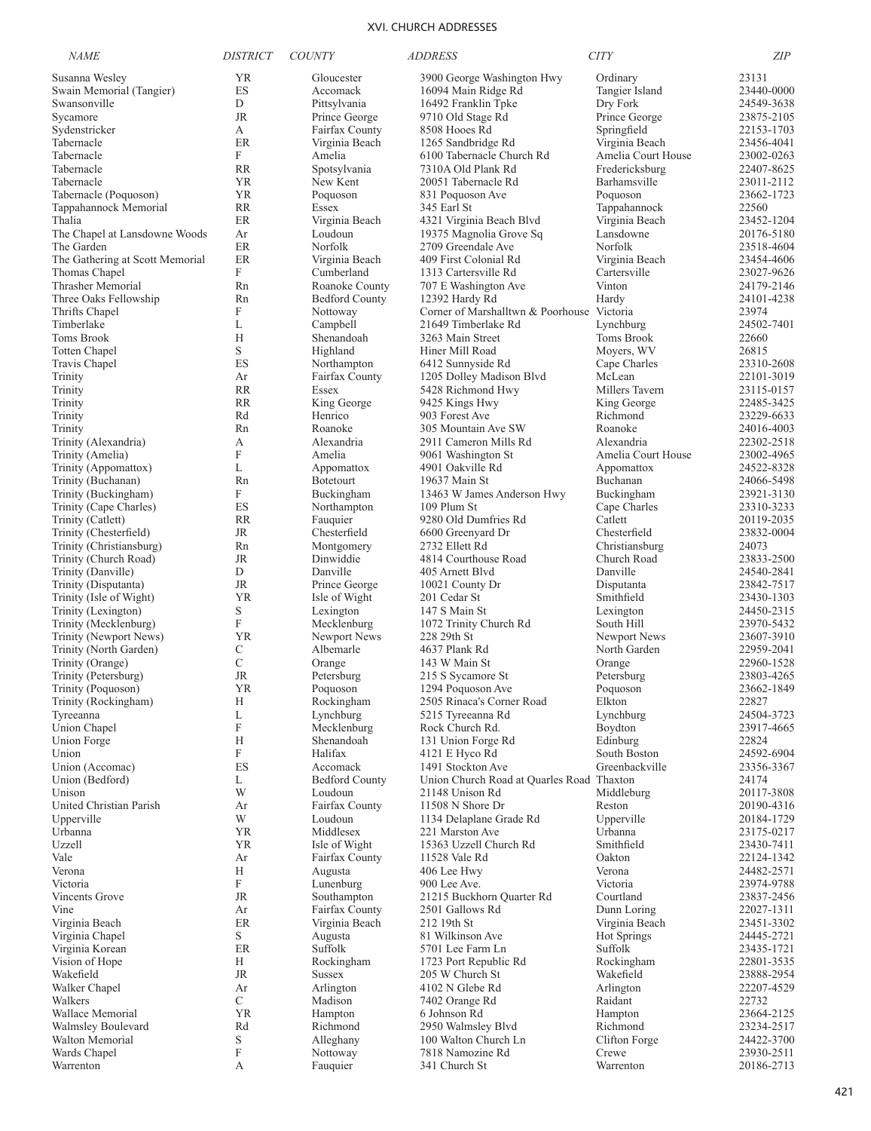| <b>NAME</b>                                  | <b>DISTRICT</b>                | <b>COUNTY</b>                     | <i>ADDRESS</i>                                      | <b>CITY</b>                          | <b>ZIP</b>               |
|----------------------------------------------|--------------------------------|-----------------------------------|-----------------------------------------------------|--------------------------------------|--------------------------|
| Susanna Wesley                               | YR                             | Gloucester                        | 3900 George Washington Hwy                          | Ordinary                             | 23131                    |
| Swain Memorial (Tangier)                     | ES                             | Accomack                          | 16094 Main Ridge Rd                                 | Tangier Island                       | 23440-0000               |
| Swansonville                                 | D                              | Pittsylvania                      | 16492 Franklin Tpke                                 | Dry Fork                             | 24549-3638               |
| Sycamore                                     | JR                             | Prince George                     | 9710 Old Stage Rd                                   | Prince George                        | 23875-2105               |
| Sydenstricker                                | А                              | Fairfax County                    | 8508 Hooes Rd                                       | Springfield                          | 22153-1703               |
| Tabernacle                                   | ER<br>F                        | Virginia Beach                    | 1265 Sandbridge Rd                                  | Virginia Beach                       | 23456-4041               |
| Tabernacle<br>Tabernacle                     | <b>RR</b>                      | Amelia<br>Spotsylvania            | 6100 Tabernacle Church Rd<br>7310A Old Plank Rd     | Amelia Court House<br>Fredericksburg | 23002-0263<br>22407-8625 |
| Tabernacle                                   | YR                             | New Kent                          | 20051 Tabernacle Rd                                 | Barhamsville                         | 23011-2112               |
| Tabernacle (Poquoson)                        | YR                             | Poquoson                          | 831 Poquoson Ave                                    | Poquoson                             | 23662-1723               |
| Tappahannock Memorial                        | <b>RR</b>                      | Essex                             | 345 Earl St                                         | Tappahannock                         | 22560                    |
| Thalia                                       | ER                             | Virginia Beach                    | 4321 Virginia Beach Blvd                            | Virginia Beach                       | 23452-1204               |
| The Chapel at Lansdowne Woods                | Ar                             | Loudoun                           | 19375 Magnolia Grove Sq                             | Lansdowne                            | 20176-5180               |
| The Garden                                   | ER                             | Norfolk                           | 2709 Greendale Ave                                  | Norfolk                              | 23518-4604               |
| The Gathering at Scott Memorial              | ER                             | Virginia Beach                    | 409 First Colonial Rd                               | Virginia Beach                       | 23454-4606               |
| Thomas Chapel                                | F                              | Cumberland                        | 1313 Cartersville Rd                                | Cartersville                         | 23027-9626               |
| Thrasher Memorial                            | Rn                             | Roanoke County                    | 707 E Washington Ave                                | Vinton                               | 24179-2146               |
| Three Oaks Fellowship<br>Thrifts Chapel      | Rn<br>F                        | <b>Bedford County</b><br>Nottoway | 12392 Hardy Rd<br>Corner of Marshalltwn & Poorhouse | Hardy<br>Victoria                    | 24101-4238<br>23974      |
| Timberlake                                   | L                              | Campbell                          | 21649 Timberlake Rd                                 | Lynchburg                            | 24502-7401               |
| Toms Brook                                   | Н                              | Shenandoah                        | 3263 Main Street                                    | Toms Brook                           | 22660                    |
| <b>Totten Chapel</b>                         | S                              | Highland                          | Hiner Mill Road                                     | Moyers, WV                           | 26815                    |
| Travis Chapel                                | ES                             | Northampton                       | 6412 Sunnyside Rd                                   | Cape Charles                         | 23310-2608               |
| Trinity                                      | Ar                             | Fairfax County                    | 1205 Dolley Madison Blvd                            | McLean                               | 22101-3019               |
| Trinity                                      | <b>RR</b>                      | Essex                             | 5428 Richmond Hwy                                   | Millers Tavern                       | 23115-0157               |
| Trinity                                      | <b>RR</b>                      | King George                       | 9425 Kings Hwy                                      | King George                          | 22485-3425               |
| Trinity                                      | Rd                             | Henrico                           | 903 Forest Ave                                      | Richmond                             | 23229-6633               |
| Trinity                                      | Rn                             | Roanoke                           | 305 Mountain Ave SW                                 | Roanoke                              | 24016-4003               |
| Trinity (Alexandria)                         | А                              | Alexandria                        | 2911 Cameron Mills Rd                               | Alexandria                           | 22302-2518               |
| Trinity (Amelia)                             | F                              | Amelia                            | 9061 Washington St                                  | Amelia Court House                   | 23002-4965               |
| Trinity (Appomattox)<br>Trinity (Buchanan)   | L<br>Rn                        | Appomattox<br><b>Botetourt</b>    | 4901 Oakville Rd<br>19637 Main St                   | Appomattox<br>Buchanan               | 24522-8328<br>24066-5498 |
| Trinity (Buckingham)                         | F                              | Buckingham                        | 13463 W James Anderson Hwy                          | Buckingham                           | 23921-3130               |
| Trinity (Cape Charles)                       | ES                             | Northampton                       | 109 Plum St                                         | Cape Charles                         | 23310-3233               |
| Trinity (Catlett)                            | <b>RR</b>                      | Fauquier                          | 9280 Old Dumfries Rd                                | Catlett                              | 20119-2035               |
| Trinity (Chesterfield)                       | JR                             | Chesterfield                      | 6600 Greenyard Dr                                   | Chesterfield                         | 23832-0004               |
| Trinity (Christiansburg)                     | Rn                             | Montgomery                        | 2732 Ellett Rd                                      | Christiansburg                       | 24073                    |
| Trinity (Church Road)                        | JR                             | Dinwiddie                         | 4814 Courthouse Road                                | Church Road                          | 23833-2500               |
| Trinity (Danville)                           | D                              | Danville                          | 405 Arnett Blvd                                     | Danville                             | 24540-2841               |
| Trinity (Disputanta)                         | JR                             | Prince George                     | 10021 County Dr                                     | Disputanta                           | 23842-7517               |
| Trinity (Isle of Wight)                      | <b>YR</b><br>S                 | Isle of Wight                     | 201 Cedar St<br>147 S Main St                       | Smithfield                           | 23430-1303<br>24450-2315 |
| Trinity (Lexington)<br>Trinity (Mecklenburg) | $\mathbf F$                    | Lexington<br>Mecklenburg          | 1072 Trinity Church Rd                              | Lexington<br>South Hill              | 23970-5432               |
| Trinity (Newport News)                       | YR                             | Newport News                      | 228 29th St                                         | Newport News                         | 23607-3910               |
| Trinity (North Garden)                       | C                              | Albemarle                         | 4637 Plank Rd                                       | North Garden                         | 22959-2041               |
| Trinity (Orange)                             | $\mathcal{C}$                  | Orange                            | 143 W Main St                                       | Orange                               | 22960-1528               |
| Trinity (Petersburg)                         | <b>JR</b>                      | Petersburg                        | 215 S Sycamore St                                   | Petersburg                           | 23803-4265               |
| Trinity (Poquoson)                           | YR                             | Poquoson                          | 1294 Poquoson Ave                                   | Poquoson                             | 23662-1849               |
| Trinity (Rockingham)                         | Н                              | Rockingham                        | 2505 Rinaca's Corner Road                           | $\rm{Elkton}$                        | 22827                    |
| Tyreeanna                                    | L                              | Lynchburg                         | 5215 Tyreeanna Rd                                   | Lynchburg                            | 24504-3723               |
| Union Chapel                                 | $\boldsymbol{\mathrm{F}}$      | Mecklenburg                       | Rock Church Rd.                                     | Boydton                              | 23917-4665               |
| Union Forge<br>Union                         | Н<br>$\boldsymbol{\mathrm{F}}$ | Shenandoah<br>Halifax             | 131 Union Forge Rd<br>4121 E Hyco Rd                | Edinburg<br>South Boston             | 22824<br>24592-6904      |
| Union (Accomac)                              | ES                             | Accomack                          | 1491 Stockton Ave                                   | Greenbackville                       | 23356-3367               |
| Union (Bedford)                              | L                              | <b>Bedford County</b>             | Union Church Road at Quarles Road Thaxton           |                                      | 24174                    |
| Unison                                       | W                              | Loudoun                           | 21148 Unison Rd                                     | Middleburg                           | 20117-3808               |
| United Christian Parish                      | Ar                             | Fairfax County                    | 11508 N Shore Dr                                    | Reston                               | 20190-4316               |
| Upperville                                   | W                              | Loudoun                           | 1134 Delaplane Grade Rd                             | Upperville                           | 20184-1729               |
| Urbanna                                      | <b>YR</b>                      | Middlesex                         | 221 Marston Ave                                     | Urbanna                              | 23175-0217               |
| Uzzell                                       | <b>YR</b>                      | Isle of Wight                     | 15363 Uzzell Church Rd                              | Smithfield                           | 23430-7411               |
| Vale                                         | Ar                             | Fairfax County                    | 11528 Vale Rd                                       | Oakton                               | 22124-1342               |
| Verona                                       | Н<br>F                         | Augusta                           | 406 Lee Hwy                                         | Verona                               | 24482-2571               |
| Victoria<br>Vincents Grove                   | JR                             | Lunenburg<br>Southampton          | 900 Lee Ave.<br>21215 Buckhorn Quarter Rd           | Victoria<br>Courtland                | 23974-9788<br>23837-2456 |
| Vine                                         | Ar                             | Fairfax County                    | 2501 Gallows Rd                                     | Dunn Loring                          | 22027-1311               |
| Virginia Beach                               | ER                             | Virginia Beach                    | 212 19th St                                         | Virginia Beach                       | 23451-3302               |
| Virginia Chapel                              | S                              | Augusta                           | 81 Wilkinson Ave                                    | <b>Hot Springs</b>                   | 24445-2721               |
| Virginia Korean                              | ER                             | Suffolk                           | 5701 Lee Farm Ln                                    | Suffolk                              | 23435-1721               |
| Vision of Hope                               | Н                              | Rockingham                        | 1723 Port Republic Rd                               | Rockingham                           | 22801-3535               |
| Wakefield                                    | JR                             | <b>Sussex</b>                     | 205 W Church St                                     | Wakefield                            | 23888-2954               |
| Walker Chapel                                | Ar                             | Arlington                         | 4102 N Glebe Rd                                     | Arlington                            | 22207-4529               |
| Walkers                                      | $\mathcal{C}$                  | Madison                           | 7402 Orange Rd                                      | Raidant                              | 22732                    |
| Wallace Memorial                             | <b>YR</b>                      | Hampton                           | 6 Johnson Rd                                        | Hampton                              | 23664-2125               |
| Walmsley Boulevard                           | Rd                             | Richmond                          | 2950 Walmsley Blvd                                  | Richmond                             | 23234-2517               |
| Walton Memorial<br>Wards Chapel              | S<br>F                         | Alleghany<br>Nottoway             | 100 Walton Church Ln<br>7818 Namozine Rd            | Clifton Forge<br>Crewe               | 24422-3700<br>23930-2511 |
| Warrenton                                    | А                              | Fauquier                          | 341 Church St                                       | Warrenton                            | 20186-2713               |
|                                              |                                |                                   |                                                     |                                      |                          |

421